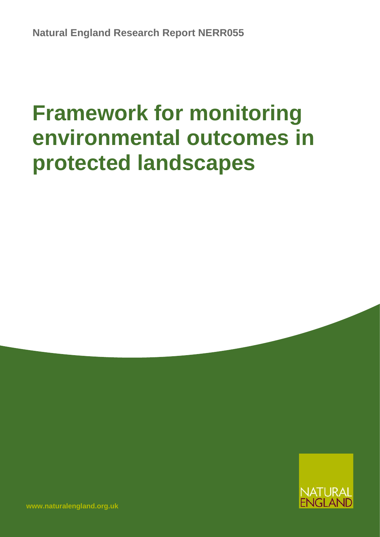# **Framework for monitoring environmental outcomes in protected landscapes**



**[www.naturalengland.org.uk](http://www.naturalengland.org.uk/)**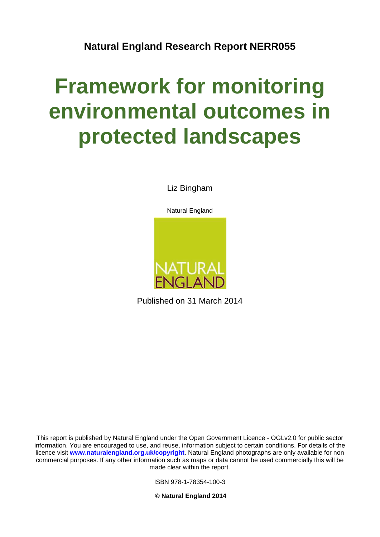## **Natural England Research Report NERR055**

# **Framework for monitoring environmental outcomes in protected landscapes**

Liz Bingham





Published on 31 March 2014

This report is published by Natural England under the Open Government Licence - OGLv2.0 for public sector information. You are encouraged to use, and reuse, information subject to certain conditions. For details of the licence visit **[www.naturalengland.org.uk/copyright](http://www.naturalengland.org.uk/copyright)**. Natural England photographs are only available for non commercial purposes. If any other information such as maps or data cannot be used commercially this will be made clear within the report.

ISBN 978-1-78354-100-3

**© Natural England 2014**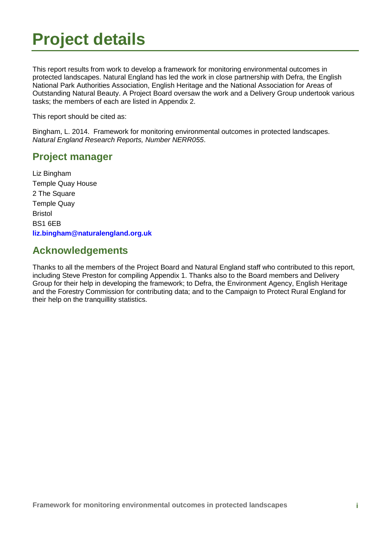## <span id="page-4-0"></span>**Project details**

This report results from work to develop a framework for monitoring environmental outcomes in protected landscapes. Natural England has led the work in close partnership with Defra, the English National Park Authorities Association, English Heritage and the National Association for Areas of Outstanding Natural Beauty. A Project Board oversaw the work and a Delivery Group undertook various tasks; the members of each are listed in Appendix 2.

This report should be cited as:

Bingham, L. 2014. Framework for monitoring environmental outcomes in protected landscapes. *Natural England Research Reports, Number NERR055*.

### **Project manager**

Liz Bingham Temple Quay House 2 The Square Temple Quay Bristol BS1 6EB **[liz.bingham@naturalengland.org.uk](mailto:liz.bingham@naturalengland.org.uk)** 

### **Acknowledgements**

Thanks to all the members of the Project Board and Natural England staff who contributed to this report, including Steve Preston for compiling Appendix 1. Thanks also to the Board members and Delivery Group for their help in developing the framework; to Defra, the Environment Agency, English Heritage and the Forestry Commission for contributing data; and to the Campaign to Protect Rural England for their help on the tranquillity statistics.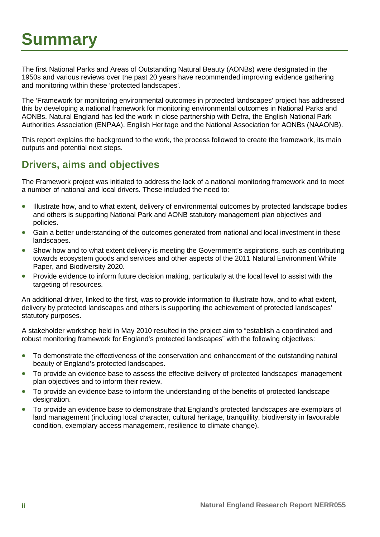## <span id="page-5-0"></span>**Summary**

The first National Parks and Areas of Outstanding Natural Beauty (AONBs) were designated in the 1950s and various reviews over the past 20 years have recommended improving evidence gathering and monitoring within these 'protected landscapes'.

The 'Framework for monitoring environmental outcomes in protected landscapes' project has addressed this by developing a national framework for monitoring environmental outcomes in National Parks and AONBs. Natural England has led the work in close partnership with Defra, the English National Park Authorities Association (ENPAA), English Heritage and the National Association for AONBs (NAAONB).

This report explains the background to the work, the process followed to create the framework, its main outputs and potential next steps.

### <span id="page-5-1"></span>**Drivers, aims and objectives**

The Framework project was initiated to address the lack of a national monitoring framework and to meet a number of national and local drivers. These included the need to:

- Illustrate how, and to what extent, delivery of environmental outcomes by protected landscape bodies and others is supporting National Park and AONB statutory management plan objectives and policies.
- Gain a better understanding of the outcomes generated from national and local investment in these landscapes.
- Show how and to what extent delivery is meeting the Government's aspirations, such as contributing towards ecosystem goods and services and other aspects of the 2011 Natural Environment White Paper, and Biodiversity 2020.
- Provide evidence to inform future decision making, particularly at the local level to assist with the targeting of resources.

An additional driver, linked to the first, was to provide information to illustrate how, and to what extent, delivery by protected landscapes and others is supporting the achievement of protected landscapes' statutory purposes.

A stakeholder workshop held in May 2010 resulted in the project aim to "establish a coordinated and robust monitoring framework for England's protected landscapes" with the following objectives:

- To demonstrate the effectiveness of the conservation and enhancement of the outstanding natural beauty of England's protected landscapes.
- To provide an evidence base to assess the effective delivery of protected landscapes' management plan objectives and to inform their review.
- To provide an evidence base to inform the understanding of the benefits of protected landscape designation.
- To provide an evidence base to demonstrate that England's protected landscapes are exemplars of land management (including local character, cultural heritage, tranquillity, biodiversity in favourable condition, exemplary access management, resilience to climate change).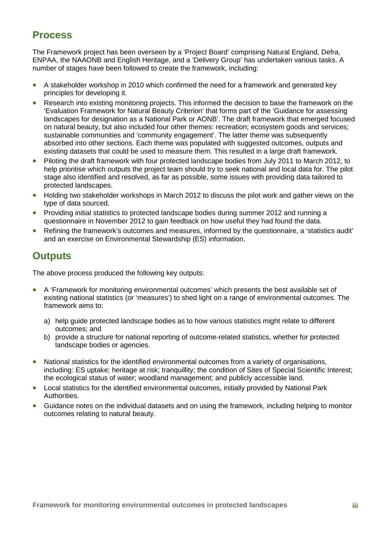### <span id="page-6-0"></span>**Process**

The Framework project has been overseen by a 'Project Board' comprising Natural England, Defra, ENPAA, the NAAONB and English Heritage, and a 'Delivery Group' has undertaken various tasks. A number of stages have been followed to create the framework, including:

- A stakeholder workshop in 2010 which confirmed the need for a framework and generated key principles for developing it.
- Research into existing monitoring projects. This informed the decision to base the framework on the 'Evaluation Framework for Natural Beauty Criterion' that forms part of the 'Guidance for assessing landscapes for designation as a National Park or AONB'. The draft framework that emerged focused on natural beauty, but also included four other themes: recreation; ecosystem goods and services; sustainable communities and 'community engagement'. The latter theme was subsequently absorbed into other sections. Each theme was populated with suggested outcomes, outputs and existing datasets that could be used to measure them. This resulted in a large draft framework.
- Piloting the draft framework with four protected landscape bodies from July 2011 to March 2012, to help prioritise which outputs the project team should try to seek national and local data for. The pilot stage also identified and resolved, as far as possible, some issues with providing data tailored to protected landscapes.
- Holding two stakeholder workshops in March 2012 to discuss the pilot work and gather views on the type of data sourced.
- Providing initial statistics to protected landscape bodies during summer 2012 and running a questionnaire in November 2012 to gain feedback on how useful they had found the data.
- Refining the framework's outcomes and measures, informed by the questionnaire, a 'statistics audit' and an exercise on Environmental Stewardship (ES) information.

## <span id="page-6-1"></span>**Outputs**

The above process produced the following key outputs:

- A 'Framework for monitoring environmental outcomes' which presents the best available set of existing national statistics (or 'measures') to shed light on a range of environmental outcomes. The framework aims to:
	- a) help guide protected landscape bodies as to how various statistics might relate to different outcomes; and
	- b) provide a structure for national reporting of outcome-related statistics, whether for protected landscape bodies or agencies.
- National statistics for the identified environmental outcomes from a variety of organisations, including: ES uptake; heritage at risk; tranquillity; the condition of Sites of Special Scientific Interest; the ecological status of water; woodland management; and publicly accessible land.
- Local statistics for the identified environmental outcomes, initially provided by National Park Authorities.
- Guidance notes on the individual datasets and on using the framework, including helping to monitor outcomes relating to natural beauty.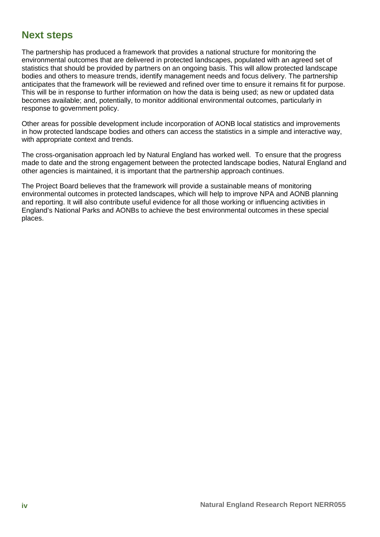### <span id="page-7-0"></span>**Next steps**

The partnership has produced a framework that provides a national structure for monitoring the environmental outcomes that are delivered in protected landscapes, populated with an agreed set of statistics that should be provided by partners on an ongoing basis. This will allow protected landscape bodies and others to measure trends, identify management needs and focus delivery. The partnership anticipates that the framework will be reviewed and refined over time to ensure it remains fit for purpose. This will be in response to further information on how the data is being used; as new or updated data becomes available; and, potentially, to monitor additional environmental outcomes, particularly in response to government policy.

Other areas for possible development include incorporation of AONB local statistics and improvements in how protected landscape bodies and others can access the statistics in a simple and interactive way, with appropriate context and trends.

The cross-organisation approach led by Natural England has worked well. To ensure that the progress made to date and the strong engagement between the protected landscape bodies, Natural England and other agencies is maintained, it is important that the partnership approach continues.

The Project Board believes that the framework will provide a sustainable means of monitoring environmental outcomes in protected landscapes, which will help to improve NPA and AONB planning and reporting. It will also contribute useful evidence for all those working or influencing activities in England's National Parks and AONBs to achieve the best environmental outcomes in these special places.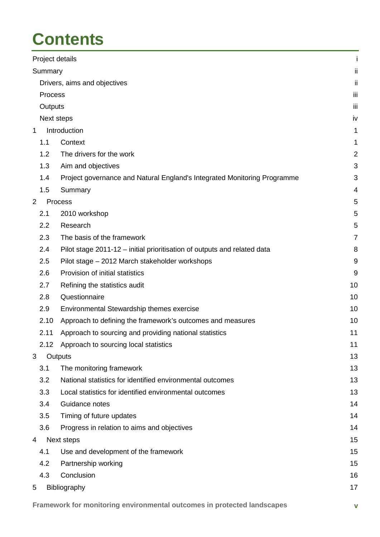## **Contents**

|                |            | Project details                                                          | j              |
|----------------|------------|--------------------------------------------------------------------------|----------------|
|                | Summary    |                                                                          | ij             |
|                |            | Drivers, aims and objectives                                             | ij             |
|                | Process    |                                                                          | jij            |
|                | Outputs    |                                                                          | iii            |
|                | Next steps |                                                                          | iv             |
| $\mathbf 1$    |            | Introduction                                                             | 1              |
|                | 1.1        | Context                                                                  | 1              |
|                | 1.2        | The drivers for the work                                                 | $\overline{2}$ |
|                | 1.3        | Aim and objectives                                                       | 3              |
|                | 1.4        | Project governance and Natural England's Integrated Monitoring Programme | 3              |
|                | 1.5        | Summary                                                                  | 4              |
| $\overline{2}$ |            | Process                                                                  | 5              |
|                | 2.1        | 2010 workshop                                                            | 5              |
|                | 2.2        | Research                                                                 | 5              |
|                | 2.3        | The basis of the framework                                               | $\overline{7}$ |
|                | 2.4        | Pilot stage 2011-12 – initial prioritisation of outputs and related data | 8              |
|                | 2.5        | Pilot stage - 2012 March stakeholder workshops                           | 9              |
|                | 2.6        | Provision of initial statistics                                          | 9              |
|                | 2.7        | Refining the statistics audit                                            | 10             |
|                | 2.8        | Questionnaire                                                            | 10             |
|                | 2.9        | Environmental Stewardship themes exercise                                | 10             |
|                | 2.10       | Approach to defining the framework's outcomes and measures               | 10             |
|                | 2.11       | Approach to sourcing and providing national statistics                   | 11             |
|                | 2.12       | Approach to sourcing local statistics                                    | 11             |
| 3              |            | Outputs                                                                  | 13             |
|                | 3.1        | The monitoring framework                                                 | 13             |
|                | 3.2        | National statistics for identified environmental outcomes                | 13             |
|                | 3.3        | Local statistics for identified environmental outcomes                   | 13             |
|                | 3.4        | Guidance notes                                                           | 14             |
|                | 3.5        | Timing of future updates                                                 | 14             |
|                | 3.6        | Progress in relation to aims and objectives                              | 14             |
| 4              |            | Next steps                                                               | 15             |
|                | 4.1        | Use and development of the framework                                     | 15             |
|                | 4.2        | Partnership working                                                      | 15             |
|                | 4.3        | Conclusion                                                               | 16             |
| 5              |            | Bibliography                                                             | 17             |
|                |            |                                                                          |                |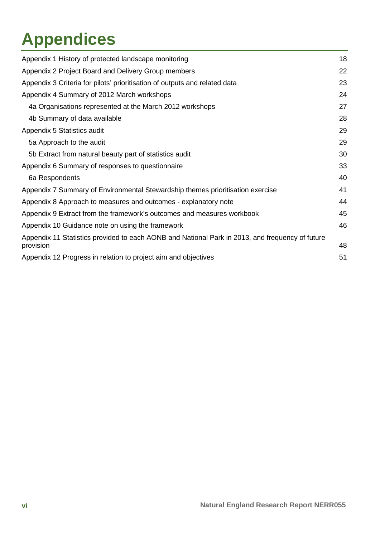## **Appendices**

| Appendix 1 History of protected landscape monitoring                                            | 18 |
|-------------------------------------------------------------------------------------------------|----|
| Appendix 2 Project Board and Delivery Group members                                             | 22 |
| Appendix 3 Criteria for pilots' prioritisation of outputs and related data                      | 23 |
| Appendix 4 Summary of 2012 March workshops                                                      | 24 |
| 4a Organisations represented at the March 2012 workshops                                        | 27 |
| 4b Summary of data available                                                                    | 28 |
| Appendix 5 Statistics audit                                                                     | 29 |
| 5a Approach to the audit                                                                        | 29 |
| 5b Extract from natural beauty part of statistics audit                                         | 30 |
| Appendix 6 Summary of responses to questionnaire                                                | 33 |
| 6a Respondents                                                                                  | 40 |
| Appendix 7 Summary of Environmental Stewardship themes prioritisation exercise                  | 41 |
| Appendix 8 Approach to measures and outcomes - explanatory note                                 | 44 |
| Appendix 9 Extract from the framework's outcomes and measures workbook                          | 45 |
| Appendix 10 Guidance note on using the framework                                                | 46 |
| Appendix 11 Statistics provided to each AONB and National Park in 2013, and frequency of future |    |
| provision                                                                                       | 48 |
| Appendix 12 Progress in relation to project aim and objectives                                  | 51 |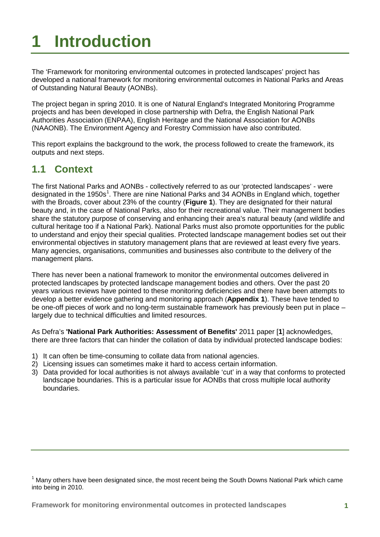## <span id="page-10-0"></span>**1 Introduction**

The 'Framework for monitoring environmental outcomes in protected landscapes' project has developed a national framework for monitoring environmental outcomes in National Parks and Areas of Outstanding Natural Beauty (AONBs).

The project began in spring 2010. It is one of Natural England's Integrated Monitoring Programme projects and has been developed in close partnership with Defra, the English National Park Authorities Association (ENPAA), English Heritage and the National Association for AONBs (NAAONB). The Environment Agency and Forestry Commission have also contributed.

This report explains the background to the work, the process followed to create the framework, its outputs and next steps.

## <span id="page-10-1"></span>**1.1 Context**

The first National Parks and AONBs - collectively referred to as our 'protected landscapes' - were designated in the [1](#page-10-2)950s<sup>1</sup>. There are nine National Parks and 34 AONBs in England which, together with the Broads, cover about 23% of the country (**Figure 1**). They are designated for their natural beauty and, in the case of National Parks, also for their recreational value. Their management bodies share the statutory purpose of conserving and enhancing their area's natural beauty (and wildlife and cultural heritage too if a National Park). National Parks must also promote opportunities for the public to understand and enjoy their special qualities. Protected landscape management bodies set out their environmental objectives in statutory management plans that are reviewed at least every five years. Many agencies, organisations, communities and businesses also contribute to the delivery of the management plans.

There has never been a national framework to monitor the environmental outcomes delivered in protected landscapes by protected landscape management bodies and others. Over the past 20 years various reviews have pointed to these monitoring deficiencies and there have been attempts to develop a better evidence gathering and monitoring approach (**Appendix 1**). These have tended to be one-off pieces of work and no long-term sustainable framework has previously been put in place – largely due to technical difficulties and limited resources.

As Defra's **['National Park Authorities: Assessment of Benefits'](http://www.defra.gov.uk/publications/files/pb13533-national-park-authorities.pdf)** 2011 paper [**1**] acknowledges, there are three factors that can hinder the collation of data by individual protected landscape bodies:

- 1) It can often be time-consuming to collate data from national agencies.
- 2) Licensing issues can sometimes make it hard to access certain information.
- 3) Data provided for local authorities is not always available 'cut' in a way that conforms to protected landscape boundaries. This is a particular issue for AONBs that cross multiple local authority boundaries.

<span id="page-10-2"></span> $<sup>1</sup>$  Many others have been designated since, the most recent being the South Downs National Park which came</sup> into being in 2010.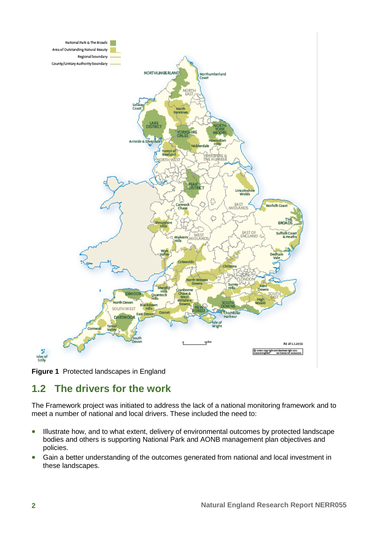



## <span id="page-11-0"></span>**1.2 The drivers for the work**

The Framework project was initiated to address the lack of a national monitoring framework and to meet a number of national and local drivers. These included the need to:

- Illustrate how, and to what extent, delivery of environmental outcomes by protected landscape bodies and others is supporting National Park and AONB management plan objectives and policies.
- Gain a better understanding of the outcomes generated from national and local investment in these landscapes.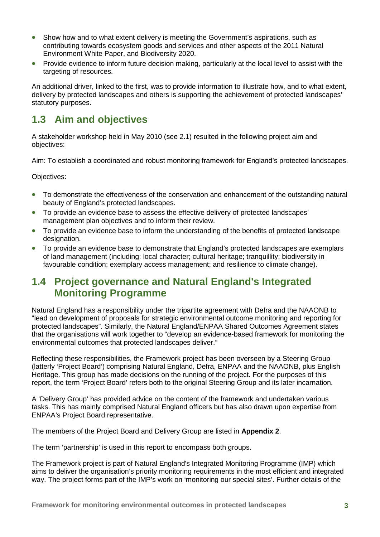- Show how and to what extent delivery is meeting the Government's aspirations, such as contributing towards ecosystem goods and services and other aspects of the 2011 Natural Environment White Paper, and Biodiversity 2020.
- Provide evidence to inform future decision making, particularly at the local level to assist with the targeting of resources.

An additional driver, linked to the first, was to provide information to illustrate how, and to what extent, delivery by protected landscapes and others is supporting the achievement of protected landscapes' statutory purposes.

## <span id="page-12-0"></span>**1.3 Aim and objectives**

A stakeholder workshop held in May 2010 (see 2.1) resulted in the following project aim and objectives:

Aim: To establish a coordinated and robust monitoring framework for England's protected landscapes.

Objectives:

- To demonstrate the effectiveness of the conservation and enhancement of the outstanding natural beauty of England's protected landscapes.
- To provide an evidence base to assess the effective delivery of protected landscapes' management plan objectives and to inform their review.
- To provide an evidence base to inform the understanding of the benefits of protected landscape designation.
- To provide an evidence base to demonstrate that England's protected landscapes are exemplars of land management (including: local character; cultural heritage; tranquillity; biodiversity in favourable condition; exemplary access management; and resilience to climate change).

### <span id="page-12-1"></span>**1.4 Project governance and Natural England's Integrated Monitoring Programme**

Natural England has a responsibility under the tripartite agreement with Defra and the NAAONB to "lead on development of proposals for strategic environmental outcome monitoring and reporting for protected landscapes". Similarly, the Natural England/ENPAA Shared Outcomes Agreement states that the organisations will work together to "develop an evidence-based framework for monitoring the environmental outcomes that protected landscapes deliver."

Reflecting these responsibilities, the Framework project has been overseen by a Steering Group (latterly 'Project Board') comprising Natural England, Defra, ENPAA and the NAAONB, plus English Heritage. This group has made decisions on the running of the project. For the purposes of this report, the term 'Project Board' refers both to the original Steering Group and its later incarnation.

A 'Delivery Group' has provided advice on the content of the framework and undertaken various tasks. This has mainly comprised Natural England officers but has also drawn upon expertise from ENPAA's Project Board representative.

The members of the Project Board and Delivery Group are listed in **Appendix 2**.

The term 'partnership' is used in this report to encompass both groups.

The Framework project is part of Natural England's Integrated Monitoring Programme (IMP) which aims to deliver the organisation's priority monitoring requirements in the most efficient and integrated way. The project forms part of the IMP's work on 'monitoring our special sites'. Further details of the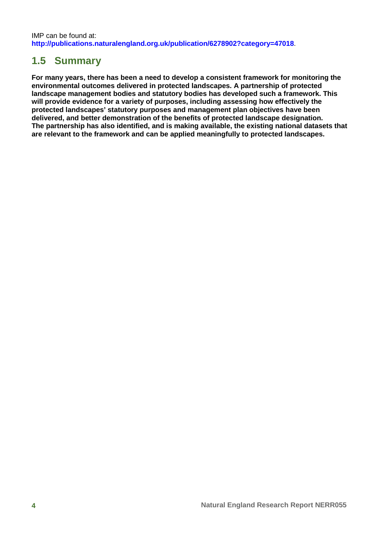## <span id="page-13-0"></span>**1.5 Summary**

**For many years, there has been a need to develop a consistent framework for monitoring the environmental outcomes delivered in protected landscapes. A partnership of protected landscape management bodies and statutory bodies has developed such a framework. This will provide evidence for a variety of purposes, including assessing how effectively the protected landscapes' statutory purposes and management plan objectives have been delivered, and better demonstration of the benefits of protected landscape designation. The partnership has also identified, and is making available, the existing national datasets that are relevant to the framework and can be applied meaningfully to protected landscapes.**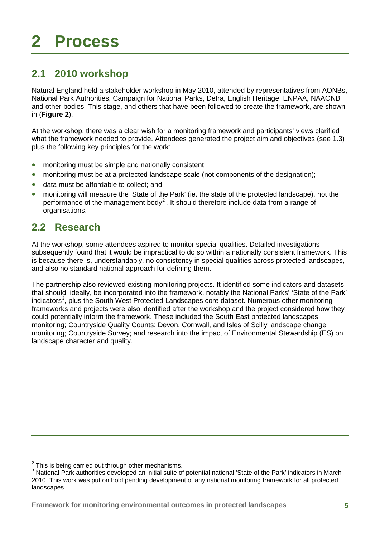## <span id="page-14-0"></span>**2 Process**

## <span id="page-14-1"></span>**2.1 2010 workshop**

Natural England held a stakeholder workshop in May 2010, attended by representatives from AONBs, National Park Authorities, Campaign for National Parks, Defra, English Heritage, ENPAA, NAAONB and other bodies. This stage, and others that have been followed to create the framework, are shown in (**Figure 2**).

At the workshop, there was a clear wish for a monitoring framework and participants' views clarified what the framework needed to provide. Attendees generated the project aim and objectives (see 1.3) plus the following key principles for the work:

- monitoring must be simple and nationally consistent;
- monitoring must be at a protected landscape scale (not components of the designation);
- data must be affordable to collect; and
- monitoring will measure the 'State of the Park' (ie. the state of the protected landscape), not the performance of the management body<sup>[2](#page-14-3)</sup>. It should therefore include data from a range of organisations.

## <span id="page-14-2"></span>**2.2 Research**

At the workshop, some attendees aspired to monitor special qualities. Detailed investigations subsequently found that it would be impractical to do so within a nationally consistent framework. This is because there is, understandably, no consistency in special qualities across protected landscapes, and also no standard national approach for defining them.

The partnership also reviewed existing monitoring projects. It identified some indicators and datasets that should, ideally, be incorporated into the framework, notably the National Parks' 'State of the Park' indicators<sup>[3](#page-14-4)</sup>, plus the South West Protected Landscapes core dataset. Numerous other monitoring frameworks and projects were also identified after the workshop and the project considered how they could potentially inform the framework. These included the South East protected landscapes monitoring; Countryside Quality Counts; Devon, Cornwall, and Isles of Scilly landscape change monitoring; Countryside Survey; and research into the impact of Environmental Stewardship (ES) on landscape character and quality.

<span id="page-14-3"></span> $2$  This is being carried out through other mechanisms.

<span id="page-14-4"></span><sup>&</sup>lt;sup>3</sup> National Park authorities developed an initial suite of potential national 'State of the Park' indicators in March 2010. This work was put on hold pending development of any national monitoring framework for all protected landscapes.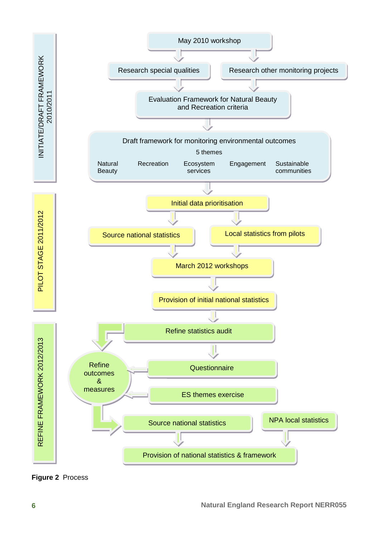

**Figure 2** Process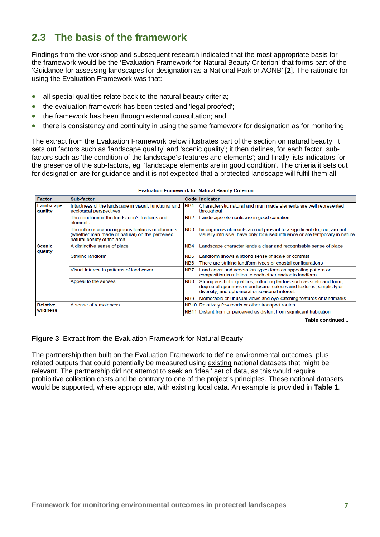## <span id="page-16-0"></span>**2.3 The basis of the framework**

Findings from the workshop and subsequent research indicated that the most appropriate basis for the framework would be the 'Evaluation Framework for Natural Beauty Criterion' that forms part of the 'Guidance for assessing landscapes for designation as a National Park or AONB' [**2**]. The rationale for using the Evaluation Framework was that:

- all special qualities relate back to the natural beauty criteria;
- the evaluation framework has been tested and 'legal proofed';
- the framework has been through external consultation; and
- there is consistency and continuity in using the same framework for designation as for monitoring.

The extract from the Evaluation Framework below illustrates part of the section on natural beauty. It sets out factors such as 'landscape quality' and 'scenic quality'; it then defines, for each factor, subfactors such as 'the condition of the landscape's features and elements'; and finally lists indicators for the presence of the sub-factors, eg. 'landscape elements are in good condition'. The criteria it sets out for designation are for guidance and it is not expected that a protected landscape will fulfil them all.

| <b>Factor</b>            | Sub-factor                                                                                                                        |                  | Code Indicator                                                                                                                                                                                  |
|--------------------------|-----------------------------------------------------------------------------------------------------------------------------------|------------------|-------------------------------------------------------------------------------------------------------------------------------------------------------------------------------------------------|
| Landscape<br>quality     | Intactness of the landscape in visual, functional and<br>ecological perspectives                                                  | NB <sub>1</sub>  | Characteristic natural and man-made elements are well represented<br>throughout                                                                                                                 |
|                          | The condition of the landscape's features and<br>elements                                                                         | N <sub>B2</sub>  | Landscape elements are in good condition                                                                                                                                                        |
|                          | The influence of incongruous features or elements<br>(whether man-made or natural) on the perceived<br>natural beauty of the area | NB <sub>3</sub>  | Incongruous elements are not present to a significant degree, are not<br>visually intrusive, have only localised influence or are temporary in nature                                           |
| <b>Scenic</b><br>quality | A distinctive sense of place                                                                                                      | NB4              | Landscape character lends a clear and recognisable sense of place                                                                                                                               |
|                          | Striking landform                                                                                                                 | NB <sub>5</sub>  | Landform shows a strong sense of scale or contrast                                                                                                                                              |
|                          |                                                                                                                                   | N <sub>B6</sub>  | There are striking landform types or coastal configurations                                                                                                                                     |
|                          | Visual interest in patterns of land cover                                                                                         | N <sub>B</sub> 7 | Land cover and vegetation types form an appealing pattern or<br>composition in relation to each other and/or to landform                                                                        |
|                          | Appeal to the senses                                                                                                              | NB <sub>8</sub>  | Strong aesthetic qualities, reflecting factors such as scale and form,<br>degree of openness or enclosure, colours and textures, simplicity or<br>diversity, and ephemeral or seasonal interest |
|                          |                                                                                                                                   | N <sub>B9</sub>  | Memorable or unusual views and eve-catching features or landmarks                                                                                                                               |
| Relative                 | A sense of remoteness                                                                                                             |                  | NB10 Relatively few roads or other transport routes                                                                                                                                             |
| wildness                 |                                                                                                                                   |                  | NB11 Distant from or perceived as distant from significant habitation                                                                                                                           |

#### **Evaluation Framework for Natural Beauty Criterion**

**Table continued...**

**Figure 3** Extract from the Evaluation Framework for Natural Beauty

The partnership then built on the Evaluation Framework to define environmental outcomes, plus related outputs that could potentially be measured using existing national datasets that might be relevant. The partnership did not attempt to seek an 'ideal' set of data, as this would require prohibitive collection costs and be contrary to one of the project's principles. These national datasets would be supported, where appropriate, with existing local data. An example is provided in **Table 1**.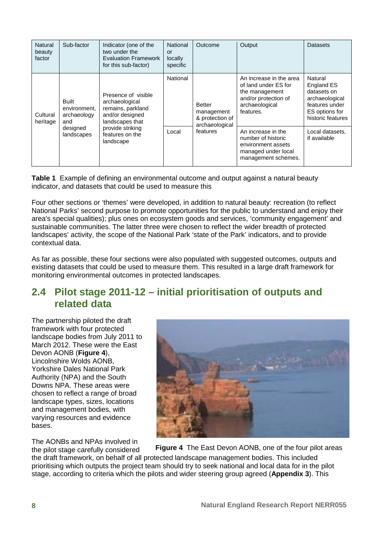| <b>Natural</b><br>beauty<br>factor | Sub-factor                                         | Indicator (one of the<br>two under the<br><b>Evaluation Framework</b><br>for this sub-factor)    | National<br>or<br>locally<br>specific | Outcome                                                          | Output                                                                                                                   | Datasets                                                                                                        |
|------------------------------------|----------------------------------------------------|--------------------------------------------------------------------------------------------------|---------------------------------------|------------------------------------------------------------------|--------------------------------------------------------------------------------------------------------------------------|-----------------------------------------------------------------------------------------------------------------|
| Cultural<br>heritage               | <b>Built</b><br>environment.<br>archaeology<br>and | Presence of visible<br>archaeological<br>remains, parkland<br>and/or designed<br>landscapes that | National                              | <b>Better</b><br>management<br>& protection of<br>archaeological | An increase in the area<br>of land under ES for<br>the management<br>and/or protection of<br>archaeological<br>features. | Natural<br>England ES<br>datasets on<br>archaeological<br>features under<br>ES options for<br>historic features |
|                                    | designed<br>landscapes                             | provide striking<br>features on the<br>landscape                                                 | Local                                 | features                                                         | An increase in the<br>number of historic<br>environment assets<br>managed under local<br>management schemes.             | Local datasets,<br>if available                                                                                 |

**Table 1** Example of defining an environmental outcome and output against a natural beauty indicator, and datasets that could be used to measure this

Four other sections or 'themes' were developed, in addition to natural beauty: recreation (to reflect National Parks' second purpose to promote opportunities for the public to understand and enjoy their area's special qualities); plus ones on ecosystem goods and services, 'community engagement' and sustainable communities. The latter three were chosen to reflect the wider breadth of protected landscapes' activity, the scope of the National Park 'state of the Park' indicators, and to provide contextual data.

As far as possible, these four sections were also populated with suggested outcomes, outputs and existing datasets that could be used to measure them. This resulted in a large draft framework for monitoring environmental outcomes in protected landscapes.

### <span id="page-17-0"></span>**2.4 Pilot stage 2011-12 – initial prioritisation of outputs and related data**

The partnership piloted the draft framework with four protected landscape bodies from July 2011 to March 2012. These were the East Devon AONB (**Figure 4**), Lincolnshire Wolds AONB, Yorkshire Dales National Park Authority (NPA) and the South Downs NPA. These areas were chosen to reflect a range of broad landscape types, sizes, locations and management bodies, with varying resources and evidence bases.

The AONBs and NPAs involved in the pilot stage carefully considered



**Figure 4** The East Devon AONB, one of the four pilot areas

the draft framework, on behalf of all protected landscape management bodies. This included prioritising which outputs the project team should try to seek national and local data for in the pilot stage, according to criteria which the pilots and wider steering group agreed (**Appendix 3**). This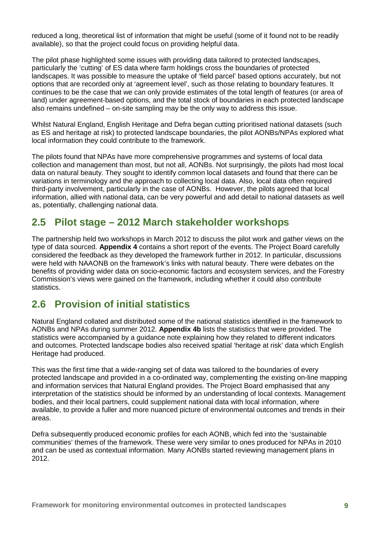reduced a long, theoretical list of information that might be useful (some of it found not to be readily available), so that the project could focus on providing helpful data.

The pilot phase highlighted some issues with providing data tailored to protected landscapes, particularly the 'cutting' of ES data where farm holdings cross the boundaries of protected landscapes. It was possible to measure the uptake of 'field parcel' based options accurately, but not options that are recorded only at 'agreement level', such as those relating to boundary features. It continues to be the case that we can only provide estimates of the total length of features (or area of land) under agreement-based options, and the total stock of boundaries in each protected landscape also remains undefined – on-site sampling may be the only way to address this issue.

Whilst Natural England, English Heritage and Defra began cutting prioritised national datasets (such as ES and heritage at risk) to protected landscape boundaries, the pilot AONBs/NPAs explored what local information they could contribute to the framework.

The pilots found that NPAs have more comprehensive programmes and systems of local data collection and management than most, but not all, AONBs. Not surprisingly, the pilots had most local data on natural beauty. They sought to identify common local datasets and found that there can be variations in terminology and the approach to collecting local data. Also, local data often required third-party involvement, particularly in the case of AONBs. However, the pilots agreed that local information, allied with national data, can be very powerful and add detail to national datasets as well as, potentially, challenging national data.

## <span id="page-18-0"></span>**2.5 Pilot stage – 2012 March stakeholder workshops**

The partnership held two workshops in March 2012 to discuss the pilot work and gather views on the type of data sourced. **Appendix 4** contains a short report of the events. The Project Board carefully considered the feedback as they developed the framework further in 2012. In particular, discussions were held with NAAONB on the framework's links with natural beauty. There were debates on the benefits of providing wider data on socio-economic factors and ecosystem services, and the Forestry Commission's views were gained on the framework, including whether it could also contribute statistics.

## <span id="page-18-1"></span>**2.6 Provision of initial statistics**

Natural England collated and distributed some of the national statistics identified in the framework to AONBs and NPAs during summer 2012. **Appendix 4b** lists the statistics that were provided. The statistics were accompanied by a guidance note explaining how they related to different indicators and outcomes. Protected landscape bodies also received spatial 'heritage at risk' data which English Heritage had produced.

This was the first time that a wide-ranging set of data was tailored to the boundaries of every protected landscape and provided in a co-ordinated way, complementing the existing on-line mapping and information services that Natural England provides. The Project Board emphasised that any interpretation of the statistics should be informed by an understanding of local contexts. Management bodies, and their local partners, could supplement national data with local information, where available, to provide a fuller and more nuanced picture of environmental outcomes and trends in their areas.

Defra subsequently produced economic profiles for each AONB, which fed into the 'sustainable communities' themes of the framework. These were very similar to ones produced for NPAs in 2010 and can be used as contextual information. Many AONBs started reviewing management plans in 2012.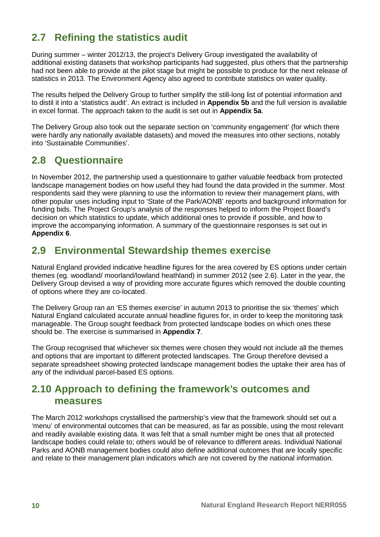## <span id="page-19-0"></span>**2.7 Refining the statistics audit**

During summer – winter 2012/13, the project's Delivery Group investigated the availability of additional existing datasets that workshop participants had suggested, plus others that the partnership had not been able to provide at the pilot stage but might be possible to produce for the next release of statistics in 2013. The Environment Agency also agreed to contribute statistics on water quality.

The results helped the Delivery Group to further simplify the still-long list of potential information and to distil it into a 'statistics audit'. An extract is included in **Appendix 5b** and the full version is available in excel format. The approach taken to the audit is set out in **Appendix 5a**.

The Delivery Group also took out the separate section on 'community engagement' (for which there were hardly any nationally available datasets) and moved the measures into other sections, notably into 'Sustainable Communities'.

### <span id="page-19-1"></span>**2.8 Questionnaire**

In November 2012, the partnership used a questionnaire to gather valuable feedback from protected landscape management bodies on how useful they had found the data provided in the summer. Most respondents said they were planning to use the information to review their management plans, with other popular uses including input to 'State of the Park/AONB' reports and background information for funding bids. The Project Group's analysis of the responses helped to inform the Project Board's decision on which statistics to update, which additional ones to provide if possible, and how to improve the accompanying information. A summary of the questionnaire responses is set out in **Appendix 6**.

### <span id="page-19-2"></span>**2.9 Environmental Stewardship themes exercise**

Natural England provided indicative headline figures for the area covered by ES options under certain themes (eg. woodland/ moorland/lowland heathland) in summer 2012 (see 2.6). Later in the year, the Delivery Group devised a way of providing more accurate figures which removed the double counting of options where they are co-located.

The Delivery Group ran an 'ES themes exercise' in autumn 2013 to prioritise the six 'themes' which Natural England calculated accurate annual headline figures for, in order to keep the monitoring task manageable. The Group sought feedback from protected landscape bodies on which ones these should be. The exercise is summarised in **Appendix 7**.

The Group recognised that whichever six themes were chosen they would not include all the themes and options that are important to different protected landscapes. The Group therefore devised a separate spreadsheet showing protected landscape management bodies the uptake their area has of any of the individual parcel-based ES options.

## <span id="page-19-3"></span>**2.10 Approach to defining the framework's outcomes and measures**

The March 2012 workshops crystallised the partnership's view that the framework should set out a 'menu' of environmental outcomes that can be measured, as far as possible, using the most relevant and readily available existing data. It was felt that a small number might be ones that all protected landscape bodies could relate to; others would be of relevance to different areas. Individual National Parks and AONB management bodies could also define additional outcomes that are locally specific and relate to their management plan indicators which are not covered by the national information.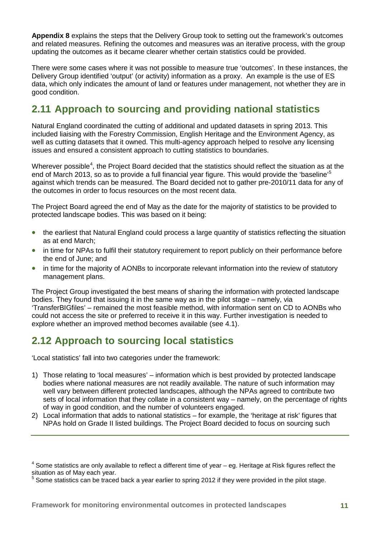**Appendix 8** explains the steps that the Delivery Group took to setting out the framework's outcomes and related measures. Refining the outcomes and measures was an iterative process, with the group updating the outcomes as it became clearer whether certain statistics could be provided.

There were some cases where it was not possible to measure true 'outcomes'. In these instances, the Delivery Group identified 'output' (or activity) information as a proxy. An example is the use of ES data, which only indicates the amount of land or features under management, not whether they are in good condition.

## <span id="page-20-0"></span>**2.11 Approach to sourcing and providing national statistics**

Natural England coordinated the cutting of additional and updated datasets in spring 2013. This included liaising with the Forestry Commission, English Heritage and the Environment Agency, as well as cutting datasets that it owned. This multi-agency approach helped to resolve any licensing issues and ensured a consistent approach to cutting statistics to boundaries.

Wherever possible<sup>[4](#page-20-2)</sup>, the Project Board decided that the statistics should reflect the situation as at the end of March 2013, so as to provide a full financial year figure. This would provide the 'baseline'<sup>[5](#page-20-3)</sup> against which trends can be measured. The Board decided not to gather pre-2010/11 data for any of the outcomes in order to focus resources on the most recent data.

The Project Board agreed the end of May as the date for the majority of statistics to be provided to protected landscape bodies. This was based on it being:

- the earliest that Natural England could process a large quantity of statistics reflecting the situation as at end March;
- in time for NPAs to fulfil their statutory requirement to report publicly on their performance before the end of June; and
- in time for the majority of AONBs to incorporate relevant information into the review of statutory management plans.

The Project Group investigated the best means of sharing the information with protected landscape bodies. They found that issuing it in the same way as in the pilot stage – namely, via 'TransferBIGfiles' – remained the most feasible method, with information sent on CD to AONBs who could not access the site or preferred to receive it in this way. Further investigation is needed to explore whether an improved method becomes available (see 4.1).

## <span id="page-20-1"></span>**2.12 Approach to sourcing local statistics**

'Local statistics' fall into two categories under the framework:

- 1) Those relating to 'local measures' information which is best provided by protected landscape bodies where national measures are not readily available. The nature of such information may well vary between different protected landscapes, although the NPAs agreed to contribute two sets of local information that they collate in a consistent way – namely, on the percentage of rights of way in good condition, and the number of volunteers engaged.
- 2) Local information that adds to national statistics for example, the 'heritage at risk' figures that NPAs hold on Grade II listed buildings. The Project Board decided to focus on sourcing such

<span id="page-20-2"></span> $4$  Some statistics are only available to reflect a different time of year – eg. Heritage at Risk figures reflect the situation as of May each year.

<span id="page-20-3"></span>Some statistics can be traced back a year earlier to spring 2012 if they were provided in the pilot stage.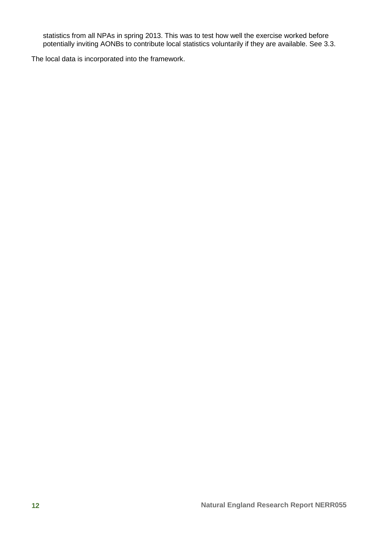statistics from all NPAs in spring 2013. This was to test how well the exercise worked before potentially inviting AONBs to contribute local statistics voluntarily if they are available. See 3.3.

The local data is incorporated into the framework.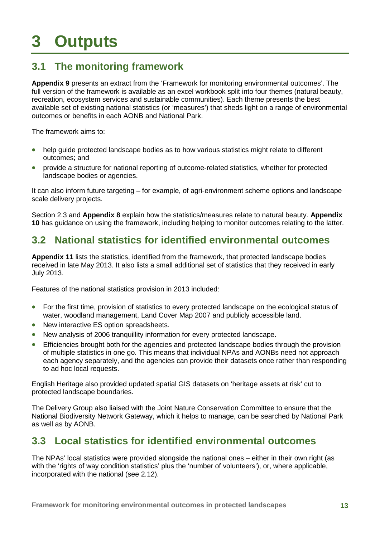## <span id="page-22-0"></span>**3 Outputs**

## <span id="page-22-1"></span>**3.1 The monitoring framework**

**Appendix 9** presents an extract from the 'Framework for monitoring environmental outcomes'. The full version of the framework is available as an excel workbook split into four themes (natural beauty, recreation, ecosystem services and sustainable communities). Each theme presents the best available set of existing national statistics (or 'measures') that sheds light on a range of environmental outcomes or benefits in each AONB and National Park.

The framework aims to:

- help guide protected landscape bodies as to how various statistics might relate to different outcomes; and
- provide a structure for national reporting of outcome-related statistics, whether for protected landscape bodies or agencies.

It can also inform future targeting – for example, of agri-environment scheme options and landscape scale delivery projects.

Section 2.3 and **Appendix 8** explain how the statistics/measures relate to natural beauty. **Appendix 10** has guidance on using the framework, including helping to monitor outcomes relating to the latter.

### <span id="page-22-2"></span>**3.2 National statistics for identified environmental outcomes**

**Appendix 11** lists the statistics, identified from the framework, that protected landscape bodies received in late May 2013. It also lists a small additional set of statistics that they received in early July 2013.

Features of the national statistics provision in 2013 included:

- For the first time, provision of statistics to every protected landscape on the ecological status of water, woodland management, Land Cover Map 2007 and publicly accessible land.
- New interactive ES option spreadsheets.
- New analysis of 2006 tranquillity information for every protected landscape.
- Efficiencies brought both for the agencies and protected landscape bodies through the provision of multiple statistics in one go. This means that individual NPAs and AONBs need not approach each agency separately, and the agencies can provide their datasets once rather than responding to ad hoc local requests.

English Heritage also provided updated spatial GIS datasets on 'heritage assets at risk' cut to protected landscape boundaries.

The Delivery Group also liaised with the Joint Nature Conservation Committee to ensure that the National Biodiversity Network Gateway, which it helps to manage, can be searched by National Park as well as by AONB.

### <span id="page-22-3"></span>**3.3 Local statistics for identified environmental outcomes**

The NPAs' local statistics were provided alongside the national ones – either in their own right (as with the 'rights of way condition statistics' plus the 'number of volunteers'), or, where applicable, incorporated with the national (see 2.12).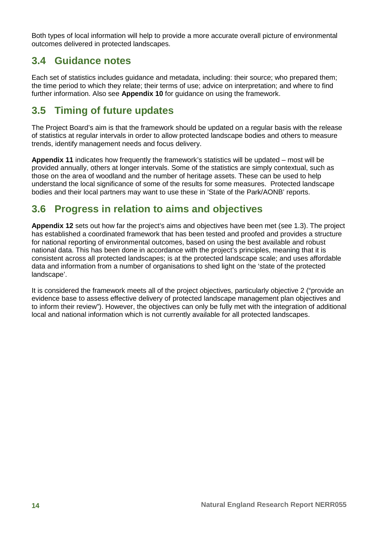Both types of local information will help to provide a more accurate overall picture of environmental outcomes delivered in protected landscapes.

### <span id="page-23-0"></span>**3.4 Guidance notes**

Each set of statistics includes guidance and metadata, including: their source; who prepared them; the time period to which they relate; their terms of use; advice on interpretation; and where to find further information. Also see **Appendix 10** for guidance on using the framework.

## <span id="page-23-1"></span>**3.5 Timing of future updates**

The Project Board's aim is that the framework should be updated on a regular basis with the release of statistics at regular intervals in order to allow protected landscape bodies and others to measure trends, identify management needs and focus delivery.

**Appendix 11** indicates how frequently the framework's statistics will be updated – most will be provided annually, others at longer intervals. Some of the statistics are simply contextual, such as those on the area of woodland and the number of heritage assets. These can be used to help understand the local significance of some of the results for some measures. Protected landscape bodies and their local partners may want to use these in 'State of the Park/AONB' reports.

## <span id="page-23-2"></span>**3.6 Progress in relation to aims and objectives**

**Appendix 12** sets out how far the project's aims and objectives have been met (see 1.3). The project has established a coordinated framework that has been tested and proofed and provides a structure for national reporting of environmental outcomes, based on using the best available and robust national data. This has been done in accordance with the project's principles, meaning that it is consistent across all protected landscapes; is at the protected landscape scale; and uses affordable data and information from a number of organisations to shed light on the 'state of the protected landscape'.

It is considered the framework meets all of the project objectives, particularly objective 2 ("provide an evidence base to assess effective delivery of protected landscape management plan objectives and to inform their review"). However, the objectives can only be fully met with the integration of additional local and national information which is not currently available for all protected landscapes.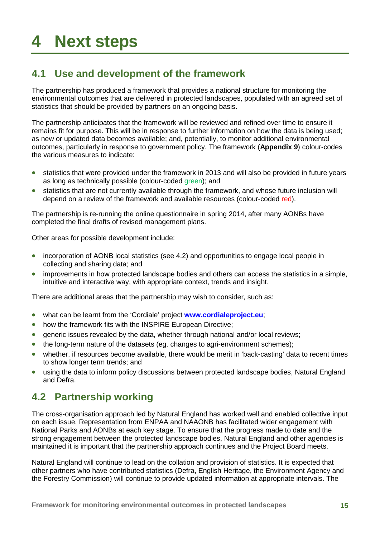## <span id="page-24-0"></span>**4 Next steps**

## <span id="page-24-1"></span>**4.1 Use and development of the framework**

The partnership has produced a framework that provides a national structure for monitoring the environmental outcomes that are delivered in protected landscapes, populated with an agreed set of statistics that should be provided by partners on an ongoing basis.

The partnership anticipates that the framework will be reviewed and refined over time to ensure it remains fit for purpose. This will be in response to further information on how the data is being used; as new or updated data becomes available; and, potentially, to monitor additional environmental outcomes, particularly in response to government policy. The framework (**Appendix 9**) colour-codes the various measures to indicate:

- statistics that were provided under the framework in 2013 and will also be provided in future years as long as technically possible (colour-coded green); and
- statistics that are not currently available through the framework, and whose future inclusion will depend on a review of the framework and available resources (colour-coded red).

The partnership is re-running the online questionnaire in spring 2014, after many AONBs have completed the final drafts of revised management plans.

Other areas for possible development include:

- incorporation of AONB local statistics (see 4.2) and opportunities to engage local people in collecting and sharing data; and
- improvements in how protected landscape bodies and others can access the statistics in a simple, intuitive and interactive way, with appropriate context, trends and insight.

There are additional areas that the partnership may wish to consider, such as:

- what can be learnt from the 'Cordiale' project **[www.cordialeproject.eu](http://www.cordialeproject.eu/)**;
- how the framework fits with the INSPIRE European Directive:
- generic issues revealed by the data, whether through national and/or local reviews;
- the long-term nature of the datasets (eg. changes to agri-environment schemes);
- whether, if resources become available, there would be merit in 'back-casting' data to recent times to show longer term trends; and
- using the data to inform policy discussions between protected landscape bodies, Natural England and Defra.

### <span id="page-24-2"></span>**4.2 Partnership working**

The cross-organisation approach led by Natural England has worked well and enabled collective input on each issue. Representation from ENPAA and NAAONB has facilitated wider engagement with National Parks and AONBs at each key stage. To ensure that the progress made to date and the strong engagement between the protected landscape bodies, Natural England and other agencies is maintained it is important that the partnership approach continues and the Project Board meets.

Natural England will continue to lead on the collation and provision of statistics. It is expected that other partners who have contributed statistics (Defra, English Heritage, the Environment Agency and the Forestry Commission) will continue to provide updated information at appropriate intervals. The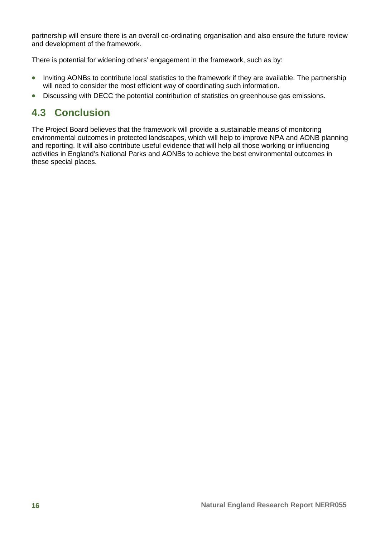partnership will ensure there is an overall co-ordinating organisation and also ensure the future review and development of the framework.

There is potential for widening others' engagement in the framework, such as by:

- Inviting AONBs to contribute local statistics to the framework if they are available. The partnership will need to consider the most efficient way of coordinating such information.
- Discussing with DECC the potential contribution of statistics on greenhouse gas emissions.

## <span id="page-25-0"></span>**4.3 Conclusion**

The Project Board believes that the framework will provide a sustainable means of monitoring environmental outcomes in protected landscapes, which will help to improve NPA and AONB planning and reporting. It will also contribute useful evidence that will help all those working or influencing activities in England's National Parks and AONBs to achieve the best environmental outcomes in these special places.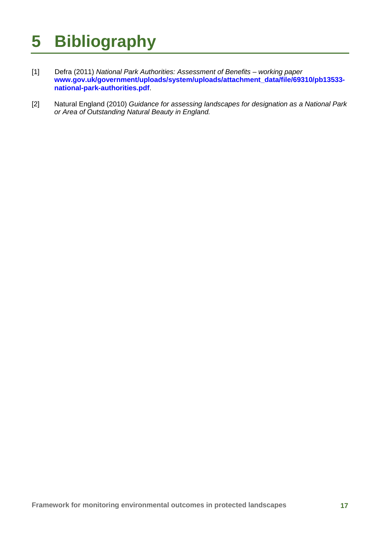# <span id="page-26-0"></span>**5 Bibliography**

- [1] Defra (2011) *National Park Authorities: Assessment of Benefits – working paper*  **[www.gov.uk/government/uploads/system/uploads/attachment\\_data/file/69310/pb13533](https://www.gov.uk/government/uploads/system/uploads/attachment_data/file/69310/pb13533-national-park-authorities.pdf) [national-park-authorities.pdf](https://www.gov.uk/government/uploads/system/uploads/attachment_data/file/69310/pb13533-national-park-authorities.pdf)**.
- [2] Natural England (2010) *Guidance for assessing landscapes for designation as a National Park or Area of Outstanding Natural Beauty in England.*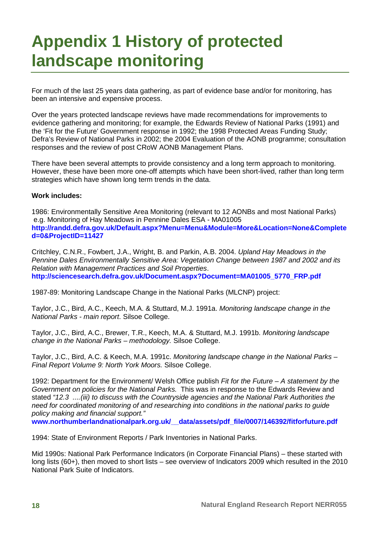## <span id="page-27-0"></span>**Appendix 1 History of protected landscape monitoring**

For much of the last 25 years data gathering, as part of evidence base and/or for monitoring, has been an intensive and expensive process.

Over the years protected landscape reviews have made recommendations for improvements to evidence gathering and monitoring; for example, the Edwards Review of National Parks (1991) and the 'Fit for the Future' Government response in 1992; the 1998 Protected Areas Funding Study; Defra's Review of National Parks in 2002; the 2004 Evaluation of the AONB programme; consultation responses and the review of post CRoW AONB Management Plans.

There have been several attempts to provide consistency and a long term approach to monitoring. However, these have been more one-off attempts which have been short-lived, rather than long term strategies which have shown long term trends in the data.

#### **Work includes:**

1986: Environmentally Sensitive Area Monitoring (relevant to 12 AONBs and most National Parks) e.g. Monitoring of Hay Meadows in Pennine Dales ESA - MA01005 **[http://randd.defra.gov.uk/Default.aspx?Menu=Menu&Module=More&Location=None&Complete](http://randd.defra.gov.uk/Default.aspx?Menu=Menu&Module=More&Location=None&Completed=0&ProjectID=11427) [d=0&ProjectID=11427](http://randd.defra.gov.uk/Default.aspx?Menu=Menu&Module=More&Location=None&Completed=0&ProjectID=11427)**

Critchley, C.N.R., Fowbert, J.A., Wright, B. and Parkin, A.B. 2004. *Upland Hay Meadows in the Pennine Dales Environmentally Sensitive Area: Vegetation Change between 1987 and 2002 and its Relation with Management Practices and Soil Properties*. **[http://sciencesearch.defra.gov.uk/Document.aspx?Document=MA01005\\_5770\\_FRP.pdf](http://sciencesearch.defra.gov.uk/Document.aspx?Document=MA01005_5770_FRP.pdf)**

1987-89: Monitoring Landscape Change in the National Parks (MLCNP) project:

Taylor, J.C., Bird, A.C., Keech, M.A. & Stuttard, M.J. 1991a. *Monitoring landscape change in the National Parks - main report*. Silsoe College.

Taylor, J.C., Bird, A.C., Brewer, T.R., Keech, M.A. & Stuttard, M.J. 1991b. *Monitoring landscape change in the National Parks – methodology.* Silsoe College.

Taylor, J.C., Bird, A.C. & Keech, M.A. 1991c. *Monitoring landscape change in the National Parks – Final Report Volume 9: North York Moors.* Silsoe College.

1992: Department for the Environment/ Welsh Office publish *Fit for the Future – A statement by the Government on policies for the National Parks.* This was in response to the Edwards Review and stated *"12.3 ....(iii) to discuss with the Countryside agencies and the National Park Authorities the need for coordinated monitoring of and researching into conditions in the national parks to guide policy making and financial support."*

**[www.northumberlandnationalpark.org.uk/\\_\\_data/assets/pdf\\_file/0007/146392/fitforfuture.pdf](http://www.northumberlandnationalpark.org.uk/__data/assets/pdf_file/0007/146392/fitforfuture.pdf)**

1994: State of Environment Reports / Park Inventories in National Parks.

Mid 1990s: National Park Performance Indicators (in Corporate Financial Plans) – these started with long lists (60+), then moved to short lists – see overview of Indicators 2009 which resulted in the 2010 National Park Suite of Indicators.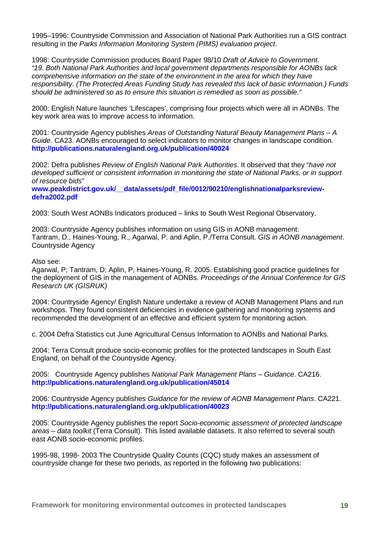1995–1996: Countryside Commission and Association of National Park Authorities run a GIS contract resulting in the *Parks Information Monitoring System (PIMS) evaluation project*.

1998: Countryside Commission produces Board Paper 98/10 *Draft of Advice to Government*. *"19*. *Both National Park Authorities and local government departments responsible for AONBs lack comprehensive information on the state of the environment in the area for which they have responsibility. (The Protected Areas Funding Study has revealed this lack of basic information.) Funds should be administered so as to ensure this situation is remedied as soon as possible."*

2000: English Nature launches 'Lifescapes', comprising four projects which were all in AONBs. The key work area was to improve access to information.

2001: Countryside Agency publishes *Areas of Outstanding Natural Beauty Management Plans – A Guide.* CA23. AONBs encouraged to select indicators to monitor changes in landscape condition. **http://publications.naturalengland.org.uk/publication/40024** 

2002: Defra publishes *Review of English National Park Authorities*. It observed that they "*have not developed sufficient or consistent information in monitoring the state of National Parks, or in support of resource bids*"

**[www.peakdistrict.gov.uk/\\_\\_data/assets/pdf\\_file/0012/90210/englishnationalparksreview](http://www.peakdistrict.gov.uk/__data/assets/pdf_file/0012/90210/englishnationalparksreview-defra2002.pdf)[defra2002.pdf](http://www.peakdistrict.gov.uk/__data/assets/pdf_file/0012/90210/englishnationalparksreview-defra2002.pdf)**

2003: South West AONBs Indicators produced – links to South West Regional Observatory.

2003: Countryside Agency publishes information on using GIS in AONB management: Tantram, D., Haines-Young, R., Agarwal, P. and Aplin, P./Terra Consult. *GIS in AONB management*. Countryside Agency

Also see:

Agarwal, P; Tantram, D; Aplin, P, Haines-Young, R. 2005. Establishing good practice guidelines for the deployment of GIS in the management of AONBs. *Proceedings of the Annual Conference for GIS Research UK (GISRUK)*

2004: Countryside Agency/ English Nature undertake a review of AONB Management Plans and run workshops. They found consistent deficiencies in evidence gathering and monitoring systems and recommended the development of an effective and efficient system for monitoring action.

c. 2004 Defra Statistics cut June Agricultural Census Information to AONBs and National Parks.

2004: Terra Consult produce socio-economic profiles for the protected landscapes in South East England, on behalf of the Countryside Agency.

2005: Countryside Agency publishes *National Park Management Plans – Guidance*. CA216. **<http://publications.naturalengland.org.uk/publication/45014>**

2006: Countryside Agency publishes *Guidance for the review of AONB Management Plans*. CA221. **<http://publications.naturalengland.org.uk/publication/40023>**

2005: Countryside Agency publishes the report *Socio-economic assessment of protected landscape areas – data toolkit* (Terra Consult). This listed available datasets. It also referred to several south east AONB socio-economic profiles.

1995-98, 1998- 2003 The Countryside Quality Counts (CQC) study makes an assessment of countryside change for these two periods, as reported in the following two publications: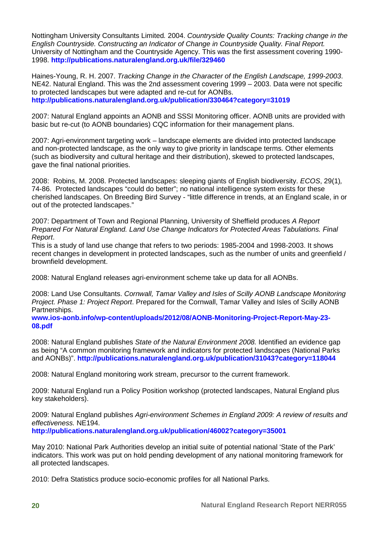Nottingham University Consultants Limited*.* 2004. *Countryside Quality Counts: Tracking change in the English Countryside. Constructing an Indicator of Change in Countryside Quality. Final Report.* University of Nottingham and the Countryside Agency. This was the first assessment covering 1990- 1998. **<http://publications.naturalengland.org.uk/file/329460>**

Haines-Young, R. H. 2007. *Tracking Change in the Character of the English Landscape, 1999-2003*. NE42. Natural England. This was the 2nd assessment covering 1999 – 2003. Data were not specific to protected landscapes but were adapted and re-cut for AONBs. **<http://publications.naturalengland.org.uk/publication/330464?category=31019>**

2007: Natural England appoints an AONB and SSSI Monitoring officer. AONB units are provided with basic but re-cut (to AONB boundaries) CQC information for their management plans.

2007: Agri-environment targeting work – landscape elements are divided into protected landscape and non-protected landscape, as the only way to give priority in landscape terms. Other elements (such as biodiversity and cultural heritage and their distribution), skewed to protected landscapes, gave the final national priorities.

2008: Robins, M. 2008. Protected landscapes: sleeping giants of English biodiversity. *ECOS*, 29(1)*,*  74-86. Protected landscapes "could do better"; no national intelligence system exists for these cherished landscapes. On Breeding Bird Survey - "little difference in trends, at an England scale, in or out of the protected landscapes."

2007: Department of Town and Regional Planning, University of Sheffield produces *A Report Prepared For Natural England. Land Use Change Indicators for Protected Areas Tabulations. Final Report*.

This is a study of land use change that refers to two periods: 1985-2004 and 1998-2003. It shows recent changes in development in protected landscapes, such as the number of units and greenfield / brownfield development.

2008: Natural England releases agri-environment scheme take up data for all AONBs.

2008: Land Use Consultants. *Cornwall, Tamar Valley and Isles of Scilly AONB Landscape Monitoring Project. Phase 1: Project Report*. Prepared for the Cornwall, Tamar Valley and Isles of Scilly AONB Partnerships.

**[www.ios-aonb.info/wp-content/uploads/2012/08/AONB-Monitoring-Project-Report-May-23-](http://www.ios-aonb.info/wp-content/uploads/2012/08/AONB-Monitoring-Project-Report-May-23-08.pdf) [08.pdf](http://www.ios-aonb.info/wp-content/uploads/2012/08/AONB-Monitoring-Project-Report-May-23-08.pdf)**

2008: Natural England publishes *State of the Natural Environment 2008.* Identified an evidence gap as being "A common monitoring framework and indicators for protected landscapes (National Parks and AONBs)". **<http://publications.naturalengland.org.uk/publication/31043?category=118044>**

2008: Natural England monitoring work stream, precursor to the current framework.

2009: Natural England run a Policy Position workshop (protected landscapes, Natural England plus key stakeholders).

2009: Natural England publishes *Agri-environment Schemes in England 2009: A review of results and effectiveness.* NE194.

**<http://publications.naturalengland.org.uk/publication/46002?category=35001>**

May 2010: National Park Authorities develop an initial suite of potential national 'State of the Park' indicators. This work was put on hold pending development of any national monitoring framework for all protected landscapes.

2010: Defra Statistics produce socio-economic profiles for all National Parks.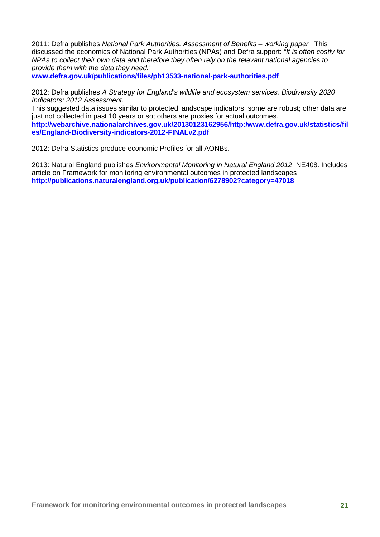2011: Defra publishes *National Park Authorities. Assessment of Benefits – working paper.* This discussed the economics of National Park Authorities (NPAs) and Defra support: *"It is often costly for NPAs to collect their own data and therefore they often rely on the relevant national agencies to provide them with the data they need."*

**[www.defra.gov.uk/publications/files/pb13533-national-park-authorities.pdf](http://www.defra.gov.uk/publications/files/pb13533-national-park-authorities.pdf)**

2012: Defra publishes *A Strategy for England's wildlife and ecosystem services. Biodiversity 2020 Indicators: 2012 Assessment.*

This suggested data issues similar to protected landscape indicators: some are robust; other data are just not collected in past 10 years or so; others are proxies for actual outcomes. **[http://webarchive.nationalarchives.gov.uk/20130123162956/http:/www.defra.gov.uk/statistics/fil](http://webarchive.nationalarchives.gov.uk/20130123162956/http:/www.defra.gov.uk/statistics/files/England-Biodiversity-indicators-2012-FINALv2.pdf) [es/England-Biodiversity-indicators-2012-FINALv2.pdf](http://webarchive.nationalarchives.gov.uk/20130123162956/http:/www.defra.gov.uk/statistics/files/England-Biodiversity-indicators-2012-FINALv2.pdf)**

2012: Defra Statistics produce economic Profiles for all AONBs.

2013: Natural England publishes *Environmental Monitoring in Natural England 2012*. NE408. Includes article on Framework for monitoring environmental outcomes in protected landscapes **<http://publications.naturalengland.org.uk/publication/6278902?category=47018>**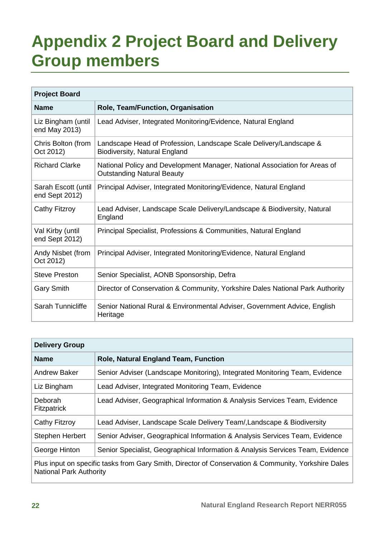## <span id="page-31-0"></span>**Appendix 2 Project Board and Delivery Group members**

| <b>Project Board</b>                  |                                                                                                                 |  |  |  |  |  |  |  |  |
|---------------------------------------|-----------------------------------------------------------------------------------------------------------------|--|--|--|--|--|--|--|--|
| <b>Name</b>                           | Role, Team/Function, Organisation                                                                               |  |  |  |  |  |  |  |  |
| Liz Bingham (until<br>end May 2013)   | Lead Adviser, Integrated Monitoring/Evidence, Natural England                                                   |  |  |  |  |  |  |  |  |
| Chris Bolton (from<br>Oct 2012)       | Landscape Head of Profession, Landscape Scale Delivery/Landscape &<br><b>Biodiversity, Natural England</b>      |  |  |  |  |  |  |  |  |
| <b>Richard Clarke</b>                 | National Policy and Development Manager, National Association for Areas of<br><b>Outstanding Natural Beauty</b> |  |  |  |  |  |  |  |  |
| Sarah Escott (until<br>end Sept 2012) | Principal Adviser, Integrated Monitoring/Evidence, Natural England                                              |  |  |  |  |  |  |  |  |
| Cathy Fitzroy                         | Lead Adviser, Landscape Scale Delivery/Landscape & Biodiversity, Natural<br>England                             |  |  |  |  |  |  |  |  |
| Val Kirby (until<br>end Sept 2012)    | Principal Specialist, Professions & Communities, Natural England                                                |  |  |  |  |  |  |  |  |
| Andy Nisbet (from<br>Oct 2012)        | Principal Adviser, Integrated Monitoring/Evidence, Natural England                                              |  |  |  |  |  |  |  |  |
| <b>Steve Preston</b>                  | Senior Specialist, AONB Sponsorship, Defra                                                                      |  |  |  |  |  |  |  |  |
| <b>Gary Smith</b>                     | Director of Conservation & Community, Yorkshire Dales National Park Authority                                   |  |  |  |  |  |  |  |  |
| Sarah Tunnicliffe                     | Senior National Rural & Environmental Adviser, Government Advice, English<br>Heritage                           |  |  |  |  |  |  |  |  |

| <b>Delivery Group</b>                                                                               |                                                                                |  |  |  |  |  |  |
|-----------------------------------------------------------------------------------------------------|--------------------------------------------------------------------------------|--|--|--|--|--|--|
| <b>Name</b>                                                                                         | <b>Role, Natural England Team, Function</b>                                    |  |  |  |  |  |  |
| <b>Andrew Baker</b>                                                                                 | Senior Adviser (Landscape Monitoring), Integrated Monitoring Team, Evidence    |  |  |  |  |  |  |
| Liz Bingham                                                                                         | Lead Adviser, Integrated Monitoring Team, Evidence                             |  |  |  |  |  |  |
| <b>Deborah</b><br><b>Fitzpatrick</b>                                                                | Lead Adviser, Geographical Information & Analysis Services Team, Evidence      |  |  |  |  |  |  |
| <b>Cathy Fitzroy</b>                                                                                | Lead Adviser, Landscape Scale Delivery Team/, Landscape & Biodiversity         |  |  |  |  |  |  |
| <b>Stephen Herbert</b>                                                                              | Senior Adviser, Geographical Information & Analysis Services Team, Evidence    |  |  |  |  |  |  |
| George Hinton                                                                                       | Senior Specialist, Geographical Information & Analysis Services Team, Evidence |  |  |  |  |  |  |
| Plus input on specific tasks from Gary Smith, Director of Conservation & Community, Yorkshire Dales |                                                                                |  |  |  |  |  |  |

ecific tasks from Gary Smith, Director of Conservation National Park Authority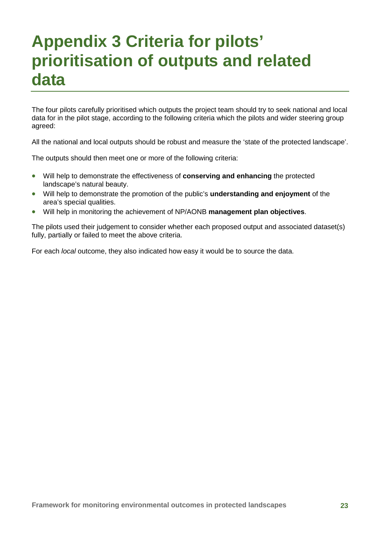## <span id="page-32-0"></span>**Appendix 3 Criteria for pilots' prioritisation of outputs and related data**

The four pilots carefully prioritised which outputs the project team should try to seek national and local data for in the pilot stage, according to the following criteria which the pilots and wider steering group agreed:

All the national and local outputs should be robust and measure the 'state of the protected landscape'.

The outputs should then meet one or more of the following criteria:

- Will help to demonstrate the effectiveness of **conserving and enhancing** the protected landscape's natural beauty.
- Will help to demonstrate the promotion of the public's **understanding and enjoyment** of the area's special qualities.
- Will help in monitoring the achievement of NP/AONB **management plan objectives**.

The pilots used their judgement to consider whether each proposed output and associated dataset(s) fully, partially or failed to meet the above criteria.

For each *local* outcome, they also indicated how easy it would be to source the data.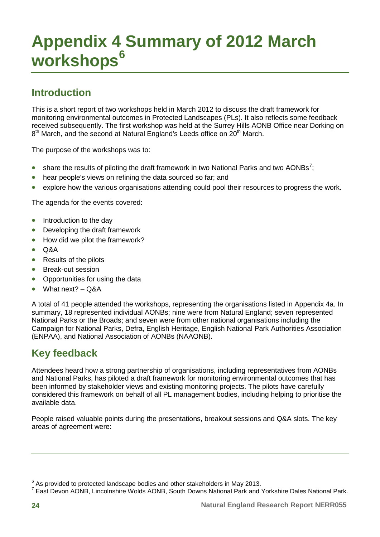## <span id="page-33-0"></span>**Appendix 4 Summary of 2012 March workshops[6](#page-33-1)**

## **Introduction**

This is a short report of two workshops held in March 2012 to discuss the draft framework for monitoring environmental outcomes in Protected Landscapes (PLs). It also reflects some feedback received subsequently. The first workshop was held at the Surrey Hills AONB Office near Dorking on  $8<sup>th</sup>$  March, and the second at Natural England's Leeds office on  $20<sup>th</sup>$  March.

The purpose of the workshops was to:

- share the results of piloting the draft framework in two National Parks and two AONBs<sup>[7](#page-33-2)</sup>;
- hear people's views on refining the data sourced so far; and
- explore how the various organisations attending could pool their resources to progress the work.

The agenda for the events covered:

- Introduction to the day
- Developing the draft framework
- How did we pilot the framework?
- Q&A
- Results of the pilots
- Break-out session
- Opportunities for using the data
- What next?  $-$  Q&A

A total of 41 people attended the workshops, representing the organisations listed in Appendix 4a. In summary, 18 represented individual AONBs; nine were from Natural England; seven represented National Parks or the Broads; and seven were from other national organisations including the Campaign for National Parks, Defra, English Heritage, English National Park Authorities Association (ENPAA), and National Association of AONBs (NAAONB).

## **Key feedback**

Attendees heard how a strong partnership of organisations, including representatives from AONBs and National Parks, has piloted a draft framework for monitoring environmental outcomes that has been informed by stakeholder views and existing monitoring projects. The pilots have carefully considered this framework on behalf of all PL management bodies, including helping to prioritise the available data.

People raised valuable points during the presentations, breakout sessions and Q&A slots. The key areas of agreement were:

<span id="page-33-1"></span> $6$  As provided to protected landscape bodies and other stakeholders in May 2013.

<span id="page-33-2"></span><sup>&</sup>lt;sup>7</sup> East Devon AONB, Lincolnshire Wolds AONB, South Downs National Park and Yorkshire Dales National Park.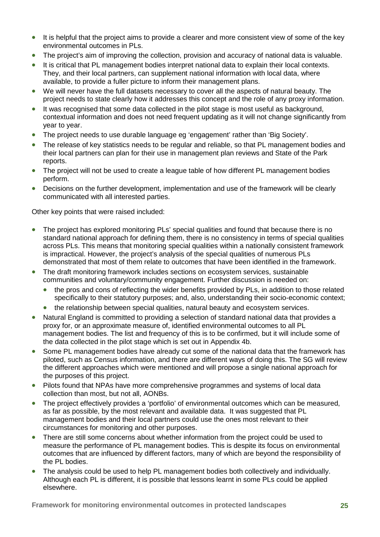- It is helpful that the project aims to provide a clearer and more consistent view of some of the key environmental outcomes in PLs.
- The project's aim of improving the collection, provision and accuracy of national data is valuable.
- It is critical that PL management bodies interpret national data to explain their local contexts. They, and their local partners, can supplement national information with local data, where available, to provide a fuller picture to inform their management plans.
- We will never have the full datasets necessary to cover all the aspects of natural beauty. The project needs to state clearly how it addresses this concept and the role of any proxy information.
- It was recognised that some data collected in the pilot stage is most useful as background. contextual information and does not need frequent updating as it will not change significantly from year to year.
- The project needs to use durable language eg 'engagement' rather than 'Big Society'.
- The release of key statistics needs to be regular and reliable, so that PL management bodies and their local partners can plan for their use in management plan reviews and State of the Park reports.
- The project will not be used to create a league table of how different PL management bodies perform.
- Decisions on the further development, implementation and use of the framework will be clearly communicated with all interested parties.

Other key points that were raised included:

- The project has explored monitoring PLs' special qualities and found that because there is no standard national approach for defining them, there is no consistency in terms of special qualities across PLs. This means that monitoring special qualities within a nationally consistent framework is impractical. However, the project's analysis of the special qualities of numerous PLs demonstrated that most of them relate to outcomes that have been identified in the framework.
- The draft monitoring framework includes sections on ecosystem services, sustainable communities and voluntary/community engagement. Further discussion is needed on:
	- the pros and cons of reflecting the wider benefits provided by PLs, in addition to those related specifically to their statutory purposes; and, also, understanding their socio-economic context;
	- the relationship between special qualities, natural beauty and ecosystem services.
- Natural England is committed to providing a selection of standard national data that provides a proxy for, or an approximate measure of, identified environmental outcomes to all PL management bodies. The list and frequency of this is to be confirmed, but it will include some of the data collected in the pilot stage which is set out in Appendix 4b.
- Some PL management bodies have already cut some of the national data that the framework has piloted, such as Census information, and there are different ways of doing this. The SG will review the different approaches which were mentioned and will propose a single national approach for the purposes of this project.
- Pilots found that NPAs have more comprehensive programmes and systems of local data collection than most, but not all, AONBs.
- The project effectively provides a 'portfolio' of environmental outcomes which can be measured, as far as possible, by the most relevant and available data. It was suggested that PL management bodies and their local partners could use the ones most relevant to their circumstances for monitoring and other purposes.
- There are still some concerns about whether information from the project could be used to measure the performance of PL management bodies. This is despite its focus on environmental outcomes that are influenced by different factors, many of which are beyond the responsibility of the PL bodies.
- The analysis could be used to help PL management bodies both collectively and individually. Although each PL is different, it is possible that lessons learnt in some PLs could be applied elsewhere.

**Framework for monitoring environmental outcomes in protected landscapes 25**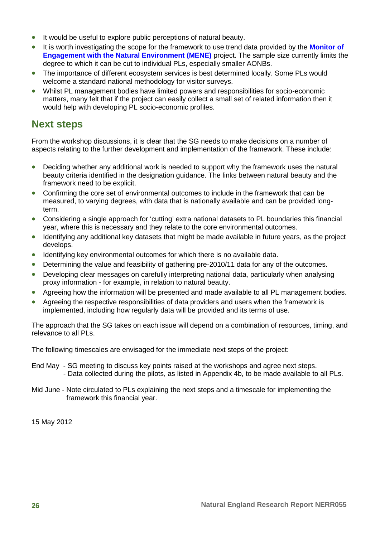- It would be useful to explore public perceptions of natural beauty.
- It is worth investigating the scope for the framework to use trend data provided by the **[Monitor of](http://www.naturalengland.org.uk/ourwork/research/mene.aspx)  [Engagement with the Natural Environment \(MENE\)](http://www.naturalengland.org.uk/ourwork/research/mene.aspx)** project. The sample size currently limits the degree to which it can be cut to individual PLs, especially smaller AONBs.
- The importance of different ecosystem services is best determined locally. Some PLs would welcome a standard national methodology for visitor surveys.
- Whilst PL management bodies have limited powers and responsibilities for socio-economic matters, many felt that if the project can easily collect a small set of related information then it would help with developing PL socio-economic profiles.

### **Next steps**

From the workshop discussions, it is clear that the SG needs to make decisions on a number of aspects relating to the further development and implementation of the framework. These include:

- Deciding whether any additional work is needed to support why the framework uses the natural beauty criteria identified in the designation guidance. The links between natural beauty and the framework need to be explicit.
- Confirming the core set of environmental outcomes to include in the framework that can be measured, to varying degrees, with data that is nationally available and can be provided longterm.
- Considering a single approach for 'cutting' extra national datasets to PL boundaries this financial year, where this is necessary and they relate to the core environmental outcomes.
- Identifying any additional key datasets that might be made available in future years, as the project develops.
- Identifying key environmental outcomes for which there is no available data.
- Determining the value and feasibility of gathering pre-2010/11 data for any of the outcomes.
- Developing clear messages on carefully interpreting national data, particularly when analysing proxy information - for example, in relation to natural beauty.
- Agreeing how the information will be presented and made available to all PL management bodies.
- Agreeing the respective responsibilities of data providers and users when the framework is implemented, including how regularly data will be provided and its terms of use.

The approach that the SG takes on each issue will depend on a combination of resources, timing, and relevance to all PLs.

The following timescales are envisaged for the immediate next steps of the project:

- End May SG meeting to discuss key points raised at the workshops and agree next steps. - Data collected during the pilots, as listed in Appendix 4b, to be made available to all PLs.
- Mid June Note circulated to PLs explaining the next steps and a timescale for implementing the framework this financial year.

15 May 2012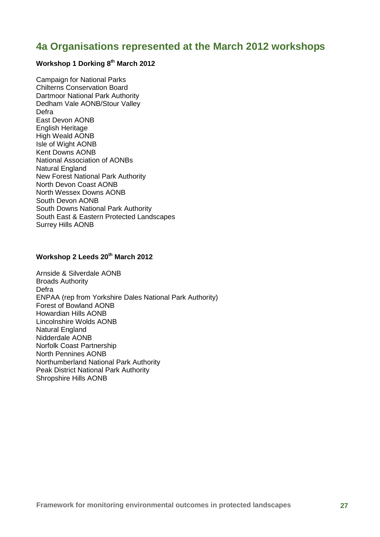### <span id="page-36-0"></span>**4a Organisations represented at the March 2012 workshops**

#### **Workshop 1 Dorking 8th March 2012**

Campaign for National Parks Chilterns Conservation Board Dartmoor National Park Authority Dedham Vale AONB/Stour Valley Defra East Devon AONB English Heritage High Weald AONB Isle of Wight AONB Kent Downs AONB National Association of AONBs Natural England New Forest National Park Authority North Devon Coast AONB North Wessex Downs AONB South Devon AONB South Downs National Park Authority South East & Eastern Protected Landscapes Surrey Hills AONB

#### Workshop 2 Leeds 20<sup>th</sup> March 2012

Arnside & Silverdale AONB Broads Authority Defra ENPAA (rep from Yorkshire Dales National Park Authority) Forest of Bowland AONB Howardian Hills AONB Lincolnshire Wolds AONB Natural England Nidderdale AONB Norfolk Coast Partnership North Pennines AONB Northumberland National Park Authority Peak District National Park Authority Shropshire Hills AONB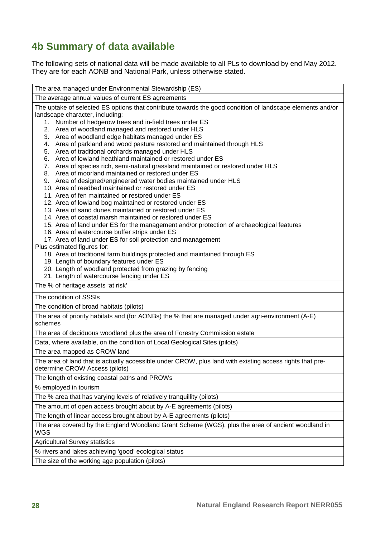## <span id="page-37-0"></span>**4b Summary of data available**

The following sets of national data will be made available to all PLs to download by end May 2012. They are for each AONB and National Park, unless otherwise stated.

| The area managed under Environmental Stewardship (ES)                                                                                      |  |  |  |  |  |  |  |  |
|--------------------------------------------------------------------------------------------------------------------------------------------|--|--|--|--|--|--|--|--|
| The average annual values of current ES agreements                                                                                         |  |  |  |  |  |  |  |  |
| The uptake of selected ES options that contribute towards the good condition of landscape elements and/or                                  |  |  |  |  |  |  |  |  |
| landscape character, including:                                                                                                            |  |  |  |  |  |  |  |  |
| Number of hedgerow trees and in-field trees under ES<br>1.<br>Area of woodland managed and restored under HLS<br>2.                        |  |  |  |  |  |  |  |  |
| Area of woodland edge habitats managed under ES<br>3.                                                                                      |  |  |  |  |  |  |  |  |
| Area of parkland and wood pasture restored and maintained through HLS<br>4.                                                                |  |  |  |  |  |  |  |  |
| Area of traditional orchards managed under HLS<br>5.                                                                                       |  |  |  |  |  |  |  |  |
| 6. Area of lowland heathland maintained or restored under ES                                                                               |  |  |  |  |  |  |  |  |
| 7. Area of species rich, semi-natural grassland maintained or restored under HLS                                                           |  |  |  |  |  |  |  |  |
| 8. Area of moorland maintained or restored under ES                                                                                        |  |  |  |  |  |  |  |  |
| 9. Area of designed/engineered water bodies maintained under HLS                                                                           |  |  |  |  |  |  |  |  |
| 10. Area of reedbed maintained or restored under ES                                                                                        |  |  |  |  |  |  |  |  |
| 11. Area of fen maintained or restored under ES<br>12. Area of lowland bog maintained or restored under ES                                 |  |  |  |  |  |  |  |  |
| 13. Area of sand dunes maintained or restored under ES                                                                                     |  |  |  |  |  |  |  |  |
| 14. Area of coastal marsh maintained or restored under ES                                                                                  |  |  |  |  |  |  |  |  |
| 15. Area of land under ES for the management and/or protection of archaeological features                                                  |  |  |  |  |  |  |  |  |
| 16. Area of watercourse buffer strips under ES                                                                                             |  |  |  |  |  |  |  |  |
| 17. Area of land under ES for soil protection and management                                                                               |  |  |  |  |  |  |  |  |
| Plus estimated figures for:                                                                                                                |  |  |  |  |  |  |  |  |
| 18. Area of traditional farm buildings protected and maintained through ES<br>19. Length of boundary features under ES                     |  |  |  |  |  |  |  |  |
| 20. Length of woodland protected from grazing by fencing                                                                                   |  |  |  |  |  |  |  |  |
| 21. Length of watercourse fencing under ES                                                                                                 |  |  |  |  |  |  |  |  |
| The % of heritage assets 'at risk'                                                                                                         |  |  |  |  |  |  |  |  |
| The condition of SSSIs                                                                                                                     |  |  |  |  |  |  |  |  |
| The condition of broad habitats (pilots)                                                                                                   |  |  |  |  |  |  |  |  |
| The area of priority habitats and (for AONBs) the % that are managed under agri-environment (A-E)                                          |  |  |  |  |  |  |  |  |
| schemes                                                                                                                                    |  |  |  |  |  |  |  |  |
| The area of deciduous woodland plus the area of Forestry Commission estate                                                                 |  |  |  |  |  |  |  |  |
| Data, where available, on the condition of Local Geological Sites (pilots)                                                                 |  |  |  |  |  |  |  |  |
| The area mapped as CROW land                                                                                                               |  |  |  |  |  |  |  |  |
| The area of land that is actually accessible under CROW, plus land with existing access rights that pre-<br>determine CROW Access (pilots) |  |  |  |  |  |  |  |  |
| The length of existing coastal paths and PROWs                                                                                             |  |  |  |  |  |  |  |  |
| % employed in tourism                                                                                                                      |  |  |  |  |  |  |  |  |
| The % area that has varying levels of relatively tranquillity (pilots)                                                                     |  |  |  |  |  |  |  |  |
| The amount of open access brought about by A-E agreements (pilots)                                                                         |  |  |  |  |  |  |  |  |
| The length of linear access brought about by A-E agreements (pilots)                                                                       |  |  |  |  |  |  |  |  |
| The area covered by the England Woodland Grant Scheme (WGS), plus the area of ancient woodland in<br>WGS                                   |  |  |  |  |  |  |  |  |
| <b>Agricultural Survey statistics</b>                                                                                                      |  |  |  |  |  |  |  |  |
| % rivers and lakes achieving 'good' ecological status                                                                                      |  |  |  |  |  |  |  |  |
| The size of the working age population (pilots)                                                                                            |  |  |  |  |  |  |  |  |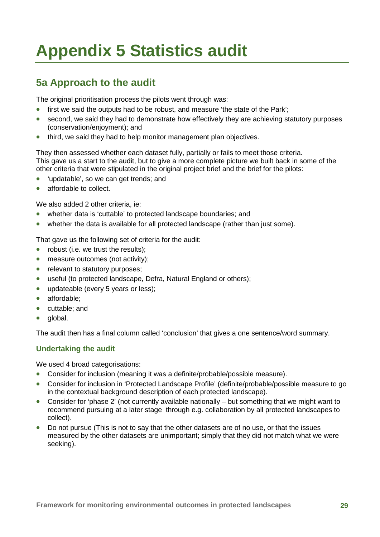## <span id="page-38-0"></span>**Appendix 5 Statistics audit**

## <span id="page-38-1"></span>**5a Approach to the audit**

The original prioritisation process the pilots went through was:

- first we said the outputs had to be robust, and measure 'the state of the Park';
- second, we said they had to demonstrate how effectively they are achieving statutory purposes (conservation/enjoyment); and
- third, we said they had to help monitor management plan objectives.

They then assessed whether each dataset fully, partially or fails to meet those criteria. This gave us a start to the audit, but to give a more complete picture we built back in some of the other criteria that were stipulated in the original project brief and the brief for the pilots:

- 'updatable', so we can get trends; and
- affordable to collect.

We also added 2 other criteria, ie:

- whether data is 'cuttable' to protected landscape boundaries; and
- whether the data is available for all protected landscape (rather than just some).

That gave us the following set of criteria for the audit:

- robust (i.e. we trust the results);
- measure outcomes (not activity):
- relevant to statutory purposes;
- useful (to protected landscape, Defra, Natural England or others);
- updateable (every 5 years or less);
- affordable:
- cuttable; and
- alobal.

The audit then has a final column called 'conclusion' that gives a one sentence/word summary.

#### **Undertaking the audit**

We used 4 broad categorisations:

- Consider for inclusion (meaning it was a definite/probable/possible measure).
- Consider for inclusion in 'Protected Landscape Profile' (definite/probable/possible measure to go in the contextual background description of each protected landscape).
- Consider for 'phase 2' (not currently available nationally but something that we might want to recommend pursuing at a later stage through e.g. collaboration by all protected landscapes to collect).
- Do not pursue (This is not to say that the other datasets are of no use, or that the issues measured by the other datasets are unimportant; simply that they did not match what we were seeking).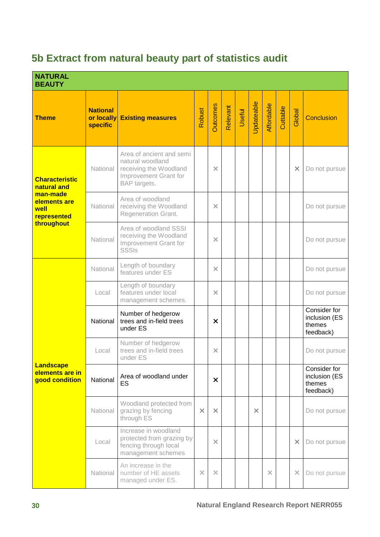## <span id="page-39-0"></span>**5b Extract from natural beauty part of statistics audit**

| <b>NATURAL</b><br><b>BEAUTY</b>                       |                                                  |                                                                                                                 |               |                 |          |        |            |            |          |          |                                                      |
|-------------------------------------------------------|--------------------------------------------------|-----------------------------------------------------------------------------------------------------------------|---------------|-----------------|----------|--------|------------|------------|----------|----------|------------------------------------------------------|
| <b>Theme</b>                                          | <b>National</b><br>or locally<br><b>specific</b> | <b>Existing measures</b>                                                                                        | <b>Robust</b> | <b>Outcomes</b> | Relevant | Useful | Updateable | Affordable | Cuttable | Global   | <b>Conclusion</b>                                    |
| <b>Characteristic</b><br>natural and                  | National                                         | Area of ancient and semi<br>natural woodland<br>receiving the Woodland<br>Improvement Grant for<br>BAP targets. |               | $\times$        |          |        |            |            |          | $\times$ | Do not pursue                                        |
| man-made<br>elements are<br>well<br>represented       | National                                         | Area of woodland<br>receiving the Woodland<br><b>Regeneration Grant.</b>                                        |               | $\times$        |          |        |            |            |          |          | Do not pursue                                        |
| throughout                                            | National                                         | Area of woodland SSSI<br>receiving the Woodland<br>Improvement Grant for<br><b>SSSIs</b>                        |               | $\times$        |          |        |            |            |          |          | Do not pursue                                        |
|                                                       | National                                         | Length of boundary<br>features under ES                                                                         |               | $\times$        |          |        |            |            |          |          | Do not pursue                                        |
|                                                       | Local                                            | Length of boundary<br>features under local<br>management schemes.                                               |               | $\times$        |          |        |            |            |          |          | Do not pursue                                        |
|                                                       | National                                         | Number of hedgerow<br>trees and in-field trees<br>under ES                                                      |               | $\times$        |          |        |            |            |          |          | Consider for<br>inclusion (ES<br>themes<br>feedback) |
|                                                       | Local                                            | Number of hedgerow<br>trees and in-field trees<br>under ES                                                      |               | $\times$        |          |        |            |            |          |          | Do not pursue                                        |
| <b>Landscape</b><br>elements are in<br>good condition | National                                         | Area of woodland under<br>ES                                                                                    |               | $\times$        |          |        |            |            |          |          | Consider for<br>inclusion (ES<br>themes<br>feedback) |
|                                                       | National                                         | Woodland protected from<br>grazing by fencing<br>through ES                                                     | $\times$      | $\times$        |          |        | $\times$   |            |          |          | Do not pursue                                        |
|                                                       | Local                                            | Increase in woodland<br>protected from grazing by<br>fencing through local<br>management schemes                |               | $\times$        |          |        |            |            |          | $\times$ | Do not pursue                                        |
|                                                       | National                                         | An increase in the<br>number of HE assets<br>managed under ES.                                                  | $\times$      | $\times$        |          |        |            | $\times$   |          | $\times$ | Do not pursue                                        |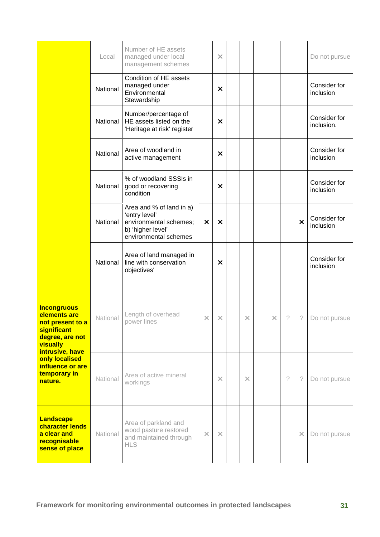|                                                                                                                         | Local    | Number of HE assets<br>managed under local<br>management schemes                                                  |          | $\times$ |          |          |   |                           | Do not pursue              |
|-------------------------------------------------------------------------------------------------------------------------|----------|-------------------------------------------------------------------------------------------------------------------|----------|----------|----------|----------|---|---------------------------|----------------------------|
|                                                                                                                         | National | Condition of HE assets<br>managed under<br>Environmental<br>Stewardship                                           |          | ×        |          |          |   |                           | Consider for<br>inclusion  |
|                                                                                                                         | National | Number/percentage of<br>HE assets listed on the<br>'Heritage at risk' register                                    |          | ×        |          |          |   |                           | Consider for<br>inclusion. |
|                                                                                                                         | National | Area of woodland in<br>active management                                                                          |          | X        |          |          |   |                           | Consider for<br>inclusion  |
|                                                                                                                         | National | % of woodland SSSIs in<br>good or recovering<br>condition                                                         |          | X        |          |          |   |                           | Consider for<br>inclusion  |
|                                                                                                                         | National | Area and % of land in a)<br>'entry level'<br>environmental schemes;<br>b) 'higher level'<br>environmental schemes | $\times$ | X        |          |          |   | $\boldsymbol{\mathsf{x}}$ | Consider for<br>inclusion  |
|                                                                                                                         | National | Area of land managed in<br>line with conservation<br>objectives'                                                  |          | ×        |          |          |   |                           | Consider for<br>inclusion  |
| <b>Incongruous</b><br>elements are<br>not present to a<br>significant<br>degree, are not<br>visually<br>intrusive, have | National | Length of overhead<br>power lines                                                                                 | X        | X        | ×        | $\times$ | ? | ?                         | Do not pursue              |
| only localised<br>influence or are<br>temporary in<br>nature.                                                           | National | Area of active mineral<br>workings                                                                                |          | $\times$ | $\times$ |          | ? | ?                         | Do not pursue              |
| <b>Landscape</b><br>character lends<br>a clear and<br>recognisable<br>sense of place                                    | National | Area of parkland and<br>wood pasture restored<br>and maintained through<br><b>HLS</b>                             | $\times$ | $\times$ |          |          |   | $\times$                  | Do not pursue              |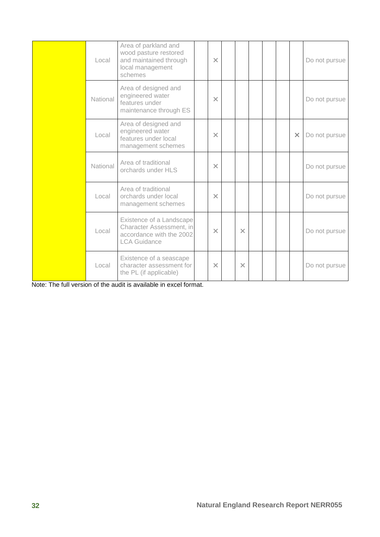| Local    | Area of parkland and<br>wood pasture restored<br>and maintained through<br>local management<br>schemes  | $\times$ |          |  |          | Do not pursue |
|----------|---------------------------------------------------------------------------------------------------------|----------|----------|--|----------|---------------|
| National | Area of designed and<br>engineered water<br>features under<br>maintenance through ES                    | $\times$ |          |  |          | Do not pursue |
| Local    | Area of designed and<br>engineered water<br>features under local<br>management schemes                  | $\times$ |          |  | $\times$ | Do not pursue |
| National | Area of traditional<br>orchards under HLS                                                               | $\times$ |          |  |          | Do not pursue |
| Local    | Area of traditional<br>orchards under local<br>management schemes                                       | $\times$ |          |  |          | Do not pursue |
| Local    | Existence of a Landscape<br>Character Assessment, in<br>accordance with the 2002<br><b>LCA Guidance</b> | $\times$ | $\times$ |  |          | Do not pursue |
| Local    | Existence of a seascape<br>character assessment for<br>the PL (if applicable)                           | $\times$ | $\times$ |  |          | Do not pursue |

Note: The full version of the audit is available in excel format.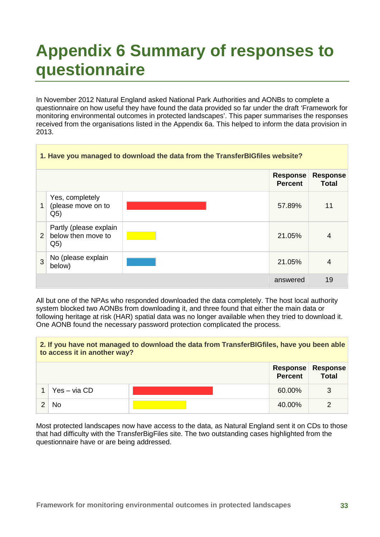## <span id="page-42-0"></span>**Appendix 6 Summary of responses to questionnaire**

In November 2012 Natural England asked National Park Authorities and AONBs to complete a questionnaire on how useful they have found the data provided so far under the draft 'Framework for monitoring environmental outcomes in protected landscapes'. This paper summarises the responses received from the organisations listed in the Appendix 6a. This helped to inform the data provision in 2013.

|   | 1. Have you managed to download the data from the TransferBIGfiles website? |  |                                   |                                 |  |  |  |  |  |
|---|-----------------------------------------------------------------------------|--|-----------------------------------|---------------------------------|--|--|--|--|--|
|   |                                                                             |  | <b>Response</b><br><b>Percent</b> | <b>Response</b><br><b>Total</b> |  |  |  |  |  |
| 1 | Yes, completely<br>(please move on to<br>Q <sub>5</sub>                     |  | 57.89%                            | 11                              |  |  |  |  |  |
| 2 | Partly (please explain<br>below then move to<br>Q <sub>5</sub>              |  | 21.05%                            | $\overline{4}$                  |  |  |  |  |  |
| 3 | No (please explain<br>below)                                                |  | 21.05%                            | $\overline{4}$                  |  |  |  |  |  |
|   |                                                                             |  | answered                          | 19                              |  |  |  |  |  |

All but one of the NPAs who responded downloaded the data completely. The host local authority system blocked two AONBs from downloading it, and three found that either the main data or following heritage at risk (HAR) spatial data was no longer available when they tried to download it. One AONB found the necessary password protection complicated the process.

## **2. If you have not managed to download the data from TransferBIGfiles, have you been able to access it in another way? Response Response**

|                | <b>Percent</b> | <b>Total</b>    |
|----------------|----------------|-----------------|
| $Yes - via CD$ | 60.00%         | $\sqrt{2}$<br>ັ |
| No             | 40.00%         | ⌒               |

Most protected landscapes now have access to the data, as Natural England sent it on CDs to those that had difficulty with the TransferBigFiles site. The two outstanding cases highlighted from the questionnaire have or are being addressed.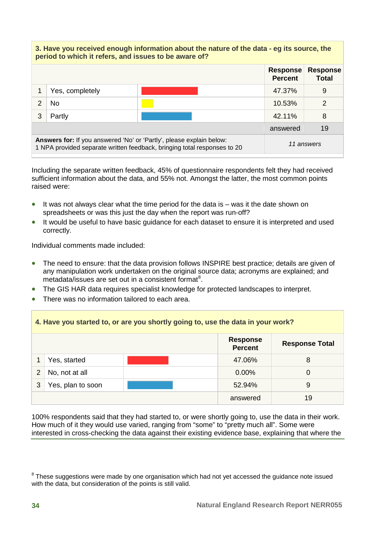#### **3. Have you received enough information about the nature of the data - eg its source, the period to which it refers, and issues to be aware of? Response Percent Response Total** 1 Yes, completely and the set of the set of the set of the set of the set of the set of the set of the set of the set of the set of the set of the set of the set of the set of the set of the set of the set of the set of th 2 No 10.53% 2 3 Partly 42.11% 8 answered 19 **Answers for:** If you answered 'No' or 'Partly', please explain below: 1 NPA provided separate written feedback, bringing total responses to 20 *11 answers*

Including the separate written feedback, 45% of questionnaire respondents felt they had received sufficient information about the data, and 55% not. Amongst the latter, the most common points raised were:

- It was not always clear what the time period for the data is was it the date shown on spreadsheets or was this just the day when the report was run-off?
- It would be useful to have basic quidance for each dataset to ensure it is interpreted and used correctly.

Individual comments made included:

- The need to ensure: that the data provision follows INSPIRE best practice; details are given of any manipulation work undertaken on the original source data; acronyms are explained; and metadata/issues are set out in a consistent format<sup>[8](#page-43-0)</sup>.
- The GIS HAR data requires specialist knowledge for protected landscapes to interpret.
- There was no information tailored to each area.

## **4. Have you started to, or are you shortly going to, use the data in your work?**

|                |                   | <b>Response</b><br><b>Percent</b> | <b>Response Total</b> |
|----------------|-------------------|-----------------------------------|-----------------------|
|                | Yes, started      | 47.06%                            | 8                     |
| $\overline{2}$ | No, not at all    | $0.00\%$                          | O                     |
| 3              | Yes, plan to soon | 52.94%                            | 9                     |
|                |                   | answered                          | 19                    |

100% respondents said that they had started to, or were shortly going to, use the data in their work. How much of it they would use varied, ranging from "some" to "pretty much all". Some were interested in cross-checking the data against their existing evidence base, explaining that where the

<span id="page-43-0"></span> $8$  These suggestions were made by one organisation which had not yet accessed the guidance note issued with the data, but consideration of the points is still valid.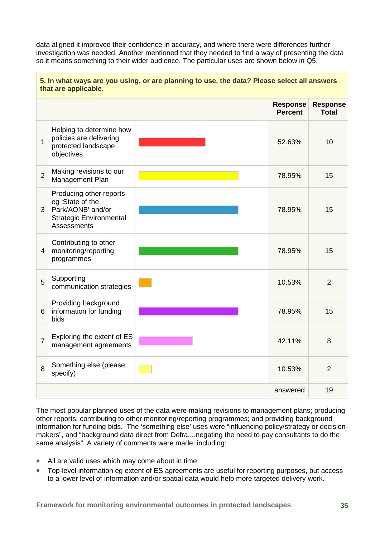data aligned it improved their confidence in accuracy, and where there were differences further investigation was needed. Another mentioned that they needed to find a way of presenting the data so it means something to their wider audience. The particular uses are shown below in Q5.

|                | that are applicable.                                                                                                     |  |                                   |                                 |  |
|----------------|--------------------------------------------------------------------------------------------------------------------------|--|-----------------------------------|---------------------------------|--|
|                |                                                                                                                          |  | <b>Response</b><br><b>Percent</b> | <b>Response</b><br><b>Total</b> |  |
| $\overline{1}$ | Helping to determine how<br>policies are delivering<br>protected landscape<br>objectives                                 |  | 52.63%                            | 10                              |  |
| $\overline{2}$ | Making revisions to our<br>Management Plan                                                                               |  | 78.95%                            | 15                              |  |
| 3              | Producing other reports<br>eg 'State of the<br>Park/AONB' and/or<br><b>Strategic Environmental</b><br><b>Assessments</b> |  | 78.95%                            | 15                              |  |
| $\overline{4}$ | Contributing to other<br>monitoring/reporting<br>programmes                                                              |  | 78.95%                            | 15                              |  |
| 5              | Supporting<br>communication strategies                                                                                   |  | 10.53%                            | $\overline{2}$                  |  |
| 6              | Providing background<br>information for funding<br>bids                                                                  |  | 78.95%                            | 15                              |  |
| $\overline{7}$ | Exploring the extent of ES<br>management agreements                                                                      |  | 42.11%                            | 8                               |  |
| 8              | Something else (please<br>specify)                                                                                       |  | 10.53%                            | $\overline{2}$                  |  |
|                |                                                                                                                          |  | answered                          | 19                              |  |

**5. In what ways are you using, or are planning to use, the data? Please select all answers** 

The most popular planned uses of the data were making revisions to management plans; producing other reports; contributing to other monitoring/reporting programmes; and providing background information for funding bids. The 'something else' uses were "influencing policy/strategy or decisionmakers", and "background data direct from Defra....negating the need to pay consultants to do the same analysis". A variety of comments were made, including:

- All are valid uses which may come about in time.
- Top-level information eg extent of ES agreements are useful for reporting purposes, but access to a lower level of information and/or spatial data would help more targeted delivery work.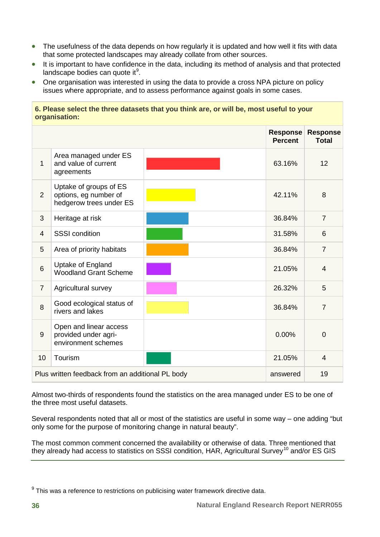- The usefulness of the data depends on how regularly it is updated and how well it fits with data that some protected landscapes may already collate from other sources.
- It is important to have confidence in the data, including its method of analysis and that protected landscape bodies can quote it<sup>[9](#page-45-0)</sup>.
- One organisation was interested in using the data to provide a cross NPA picture on policy issues where appropriate, and to assess performance against goals in some cases.

|                | viyanısatıvn.                                                              |  |                                   |                                 |
|----------------|----------------------------------------------------------------------------|--|-----------------------------------|---------------------------------|
|                |                                                                            |  | <b>Response</b><br><b>Percent</b> | <b>Response</b><br><b>Total</b> |
| $\mathbf 1$    | Area managed under ES<br>and value of current<br>agreements                |  | 63.16%                            | 12                              |
| $\overline{2}$ | Uptake of groups of ES<br>options, eg number of<br>hedgerow trees under ES |  | 42.11%                            | 8                               |
| 3              | Heritage at risk                                                           |  | 36.84%                            | $\overline{7}$                  |
| $\overline{4}$ | <b>SSSI</b> condition                                                      |  | 31.58%                            | 6                               |
| 5              | Area of priority habitats                                                  |  | 36.84%                            | $\overline{7}$                  |
| 6              | Uptake of England<br><b>Woodland Grant Scheme</b>                          |  | 21.05%                            | $\overline{4}$                  |
| $\overline{7}$ | Agricultural survey                                                        |  | 26.32%                            | 5                               |
| 8              | Good ecological status of<br>rivers and lakes                              |  | 36.84%                            | $\overline{7}$                  |
| 9              | Open and linear access<br>provided under agri-<br>environment schemes      |  | 0.00%                             | $\overline{0}$                  |
| 10             | Tourism                                                                    |  | 21.05%                            | 4                               |
|                | Plus written feedback from an additional PL body                           |  | answered                          | 19                              |

**6. Please select the three datasets that you think are, or will be, most useful to your organisation:**

Almost two-thirds of respondents found the statistics on the area managed under ES to be one of the three most useful datasets.

Several respondents noted that all or most of the statistics are useful in some way – one adding "but only some for the purpose of monitoring change in natural beauty".

<span id="page-45-1"></span>The most common comment concerned the availability or otherwise of data. Three mentioned that they already had access to statistics on SSSI condition, HAR, Agricultural Survey<sup>[10](#page-45-1)</sup> and/or ES GIS

<span id="page-45-0"></span> $9$  This was a reference to restrictions on publicising water framework directive data.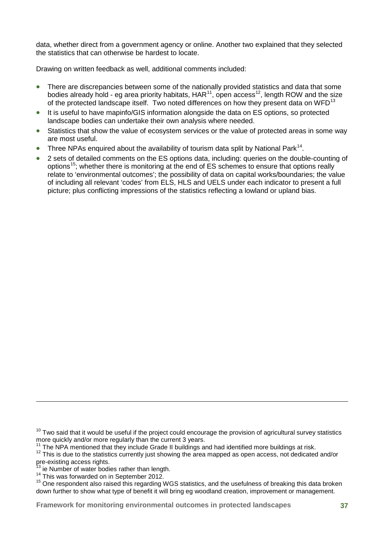data, whether direct from a government agency or online. Another two explained that they selected the statistics that can otherwise be hardest to locate.

Drawing on written feedback as well, additional comments included:

- There are discrepancies between some of the nationally provided statistics and data that some bodies already hold - eg area priority habitats,  $HAR^{11}$  $HAR^{11}$  $HAR^{11}$ , open access<sup>[12](#page-46-1)</sup>, length ROW and the size of the protected landscape itself. Two noted differences on how they present data on WFD<sup>[13](#page-46-2)</sup>
- It is useful to have mapinfo/GIS information alongside the data on ES options, so protected landscape bodies can undertake their own analysis where needed.
- Statistics that show the value of ecosystem services or the value of protected areas in some way are most useful.
- Three NPAs enquired about the availability of tourism data split by National Park<sup>[14](#page-46-3)</sup>.
- 2 sets of detailed comments on the ES options data, including: queries on the double-counting of options[15](#page-46-4); whether there is monitoring at the end of ES schemes to ensure that options really relate to 'environmental outcomes'; the possibility of data on capital works/boundaries; the value of including all relevant 'codes' from ELS, HLS and UELS under each indicator to present a full picture; plus conflicting impressions of the statistics reflecting a lowland or upland bias.

-

**Framework for monitoring environmental outcomes in protected landscapes 37**

 $10$  Two said that it would be useful if the project could encourage the provision of agricultural survey statistics more quickly and/or more regularly than the current 3 years.<br><sup>11</sup> The NPA mentioned that they include Grade II buildings and had identified more buildings at risk.

<span id="page-46-1"></span><span id="page-46-0"></span><sup>11</sup> The NPA members and they include Grade it buildings and had identified more buildings at This is due to the statistics currently just showing the area mapped as open access, not dedicated and/or pre-existing access righ

<span id="page-46-4"></span><span id="page-46-3"></span><span id="page-46-2"></span> $14$  This was forwarded on in September 2012.<br> $15$  One respondent also raised this regarding WGS statistics, and the usefulness of breaking this data broken down further to show what type of benefit it will bring eg woodland creation, improvement or management.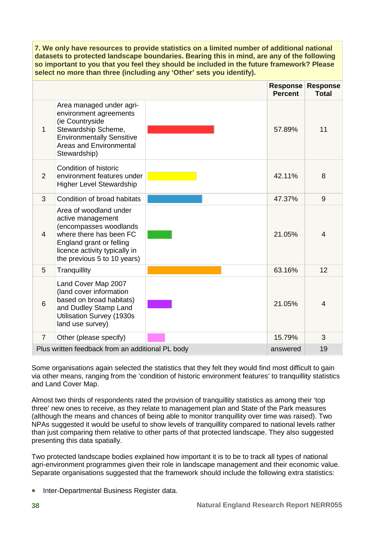**7. We only have resources to provide statistics on a limited number of additional national datasets to protected landscape boundaries. Bearing this in mind, are any of the following so important to you that you feel they should be included in the future framework? Please select no more than three (including any 'Other' sets you identify).**

|                |                                                                                                                                                                                              | <b>Percent</b> | <b>Response Response</b><br><b>Total</b> |
|----------------|----------------------------------------------------------------------------------------------------------------------------------------------------------------------------------------------|----------------|------------------------------------------|
| 1              | Area managed under agri-<br>environment agreements<br>(ie Countryside<br>Stewardship Scheme,<br><b>Environmentally Sensitive</b><br>Areas and Environmental<br>Stewardship)                  | 57.89%         | 11                                       |
| 2              | Condition of historic<br>environment features under<br><b>Higher Level Stewardship</b>                                                                                                       | 42.11%         | 8                                        |
| 3              | Condition of broad habitats                                                                                                                                                                  | 47.37%         | 9                                        |
| $\overline{4}$ | Area of woodland under<br>active management<br>(encompasses woodlands<br>where there has been FC<br>England grant or felling<br>licence activity typically in<br>the previous 5 to 10 years) | 21.05%         | $\overline{4}$                           |
| 5              | Tranquillity                                                                                                                                                                                 | 63.16%         | 12                                       |
| 6              | Land Cover Map 2007<br>(land cover information<br>based on broad habitats)<br>and Dudley Stamp Land<br><b>Utilisation Survey (1930s</b><br>land use survey)                                  | 21.05%         | 4                                        |
| $\overline{7}$ | Other (please specify)                                                                                                                                                                       | 15.79%         | 3                                        |
|                | Plus written feedback from an additional PL body                                                                                                                                             | answered       | 19                                       |

Some organisations again selected the statistics that they felt they would find most difficult to gain via other means, ranging from the 'condition of historic environment features' to tranquillity statistics and Land Cover Map.

Almost two thirds of respondents rated the provision of tranquillity statistics as among their 'top three' new ones to receive, as they relate to management plan and State of the Park measures (although the means and chances of being able to monitor tranquillity over time was raised). Two NPAs suggested it would be useful to show levels of tranquillity compared to national levels rather than just comparing them relative to other parts of that protected landscape. They also suggested presenting this data spatially.

Two protected landscape bodies explained how important it is to be to track all types of national agri-environment programmes given their role in landscape management and their economic value. Separate organisations suggested that the framework should include the following extra statistics:

• Inter-Departmental Business Register data.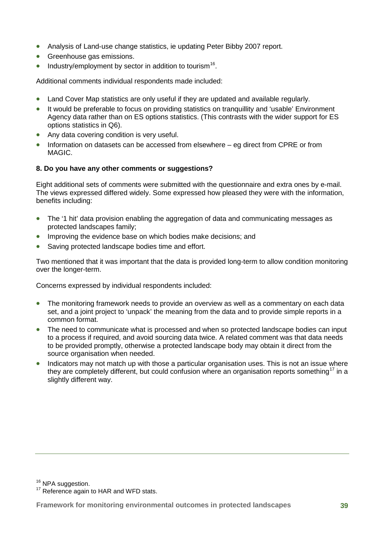- Analysis of Land-use change statistics, ie updating Peter Bibby 2007 report.
- Greenhouse gas emissions.
- Industry/employment by sector in addition to tourism<sup>[16](#page-48-0)</sup>.

Additional comments individual respondents made included:

- Land Cover Map statistics are only useful if they are updated and available regularly.
- It would be preferable to focus on providing statistics on tranquillity and 'usable' Environment Agency data rather than on ES options statistics. (This contrasts with the wider support for ES options statistics in Q6).
- Any data covering condition is very useful.
- Information on datasets can be accessed from elsewhere eg direct from CPRE or from MAGIC.

#### **8. Do you have any other comments or suggestions?**

Eight additional sets of comments were submitted with the questionnaire and extra ones by e-mail. The views expressed differed widely. Some expressed how pleased they were with the information, benefits including:

- The '1 hit' data provision enabling the aggregation of data and communicating messages as protected landscapes family;
- Improving the evidence base on which bodies make decisions; and
- Saving protected landscape bodies time and effort.

Two mentioned that it was important that the data is provided long-term to allow condition monitoring over the longer-term.

Concerns expressed by individual respondents included:

- The monitoring framework needs to provide an overview as well as a commentary on each data set, and a joint project to 'unpack' the meaning from the data and to provide simple reports in a common format.
- The need to communicate what is processed and when so protected landscape bodies can input to a process if required, and avoid sourcing data twice. A related comment was that data needs to be provided promptly, otherwise a protected landscape body may obtain it direct from the source organisation when needed.
- Indicators may not match up with those a particular organisation uses. This is not an issue where they are completely different, but could confusion where an organisation reports something<sup>[17](#page-48-1)</sup> in a slightly different way.

<span id="page-48-1"></span><span id="page-48-0"></span> $16$  NPA suggestion.<br> $17$  Reference again to HAR and WFD stats.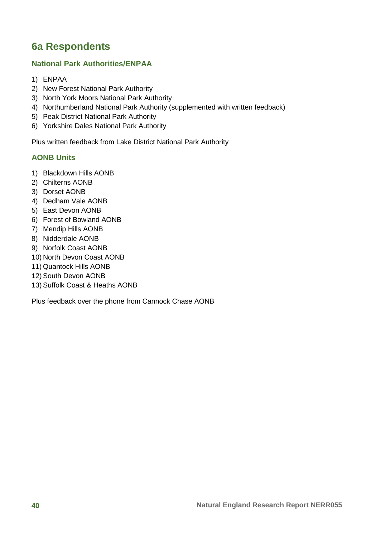## <span id="page-49-0"></span>**6a Respondents**

#### **National Park Authorities/ENPAA**

- 1) ENPAA
- 2) New Forest National Park Authority
- 3) North York Moors National Park Authority
- 4) Northumberland National Park Authority (supplemented with written feedback)
- 5) Peak District National Park Authority
- 6) Yorkshire Dales National Park Authority

Plus written feedback from Lake District National Park Authority

#### **AONB Units**

- 1) Blackdown Hills AONB
- 2) Chilterns AONB
- 3) Dorset AONB
- 4) Dedham Vale AONB
- 5) East Devon AONB
- 6) Forest of Bowland AONB
- 7) Mendip Hills AONB
- 8) Nidderdale AONB
- 9) Norfolk Coast AONB
- 10) North Devon Coast AONB
- 11) Quantock Hills AONB
- 12) South Devon AONB
- 13) Suffolk Coast & Heaths AONB

Plus feedback over the phone from Cannock Chase AONB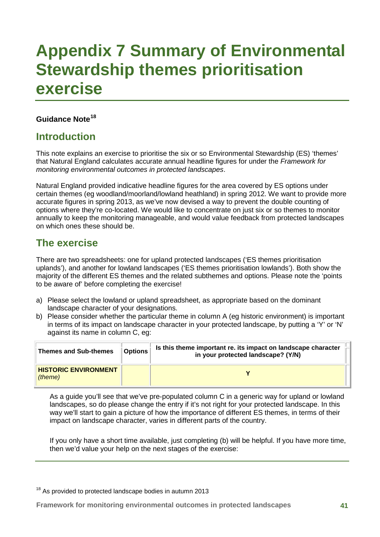## <span id="page-50-0"></span>**Appendix 7 Summary of Environmental Stewardship themes prioritisation exercise**

#### **Guidance Note[18](#page-50-1)**

### **Introduction**

This note explains an exercise to prioritise the six or so Environmental Stewardship (ES) 'themes' that Natural England calculates accurate annual headline figures for under the *Framework for monitoring environmental outcomes in protected landscapes*.

Natural England provided indicative headline figures for the area covered by ES options under certain themes (eg woodland/moorland/lowland heathland) in spring 2012. We want to provide more accurate figures in spring 2013, as we've now devised a way to prevent the double counting of options where they're co-located. We would like to concentrate on just six or so themes to monitor annually to keep the monitoring manageable, and would value feedback from protected landscapes on which ones these should be.

### **The exercise**

There are two spreadsheets: one for upland protected landscapes ('ES themes prioritisation uplands'), and another for lowland landscapes ('ES themes prioritisation lowlands'). Both show the majority of the different ES themes and the related subthemes and options. Please note the 'points to be aware of' before completing the exercise!

- a) Please select the lowland or upland spreadsheet, as appropriate based on the dominant landscape character of your designations.
- b) Please consider whether the particular theme in column A (eg historic environment) is important in terms of its impact on landscape character in your protected landscape, by putting a 'Y' or 'N' against its name in column C, eg:

| <b>Themes and Sub-themes</b>           | <b>Options</b> | Is this theme important re. its impact on landscape character<br>in your protected landscape? (Y/N) |  |
|----------------------------------------|----------------|-----------------------------------------------------------------------------------------------------|--|
| <b>HISTORIC ENVIRONMENT</b><br>(theme) |                |                                                                                                     |  |

As a guide you'll see that we've pre-populated column C in a generic way for upland or lowland landscapes, so do please change the entry if it's not right for your protected landscape. In this way we'll start to gain a picture of how the importance of different ES themes, in terms of their impact on landscape character, varies in different parts of the country.

If you only have a short time available, just completing (b) will be helpful. If you have more time, then we'd value your help on the next stages of the exercise:

<span id="page-50-1"></span> $18$  As provided to protected landscape bodies in autumn 2013

**Framework for monitoring environmental outcomes in protected landscapes 41**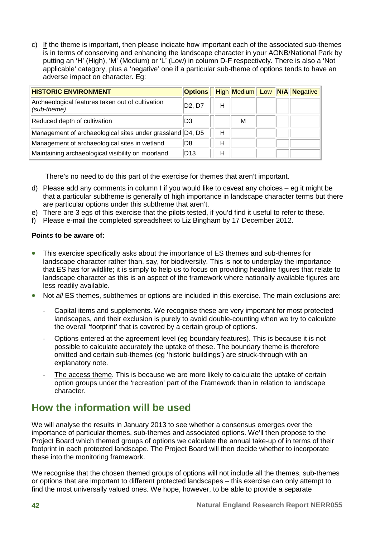c) If the theme is important, then please indicate how important each of the associated sub-themes is in terms of conserving and enhancing the landscape character in your AONB/National Park by putting an 'H' (High), 'M' (Medium) or 'L' (Low) in column D-F respectively. There is also a 'Not applicable' category, plus a 'negative' one if a particular sub-theme of options tends to have an adverse impact on character. Eg:

| <b>HISTORIC ENVIRONMENT</b>                                     | <b>Options</b> |   |   |  | <b>High Medium Low N/A Negative</b> |
|-----------------------------------------------------------------|----------------|---|---|--|-------------------------------------|
| Archaeological features taken out of cultivation<br>(sub-theme) | D2, D7         | Н |   |  |                                     |
| Reduced depth of cultivation                                    | D3             |   | M |  |                                     |
| Management of archaeological sites under grassland D4, D5       |                | н |   |  |                                     |
| Management of archaeological sites in wetland                   | D8             | Н |   |  |                                     |
| Maintaining archaeological visibility on moorland               | D13            | Н |   |  |                                     |

There's no need to do this part of the exercise for themes that aren't important.

- d) Please add any comments in column I if you would like to caveat any choices eg it might be that a particular subtheme is generally of high importance in landscape character terms but there are particular options under this subtheme that aren't.
- e) There are 3 egs of this exercise that the pilots tested, if you'd find it useful to refer to these.
- f) Please e-mail the completed spreadsheet to Liz Bingham by 17 December 2012.

#### **Points to be aware of:**

- This exercise specifically asks about the importance of ES themes and sub-themes for landscape character rather than, say, for biodiversity. This is not to underplay the importance that ES has for wildlife; it is simply to help us to focus on providing headline figures that relate to landscape character as this is an aspect of the framework where nationally available figures are less readily available.
- Not *all* ES themes, subthemes or options are included in this exercise. The main exclusions are:
	- Capital items and supplements. We recognise these are very important for most protected landscapes, and their exclusion is purely to avoid double-counting when we try to calculate the overall 'footprint' that is covered by a certain group of options.
	- Options entered at the agreement level (eg boundary features). This is because it is not possible to calculate accurately the uptake of these. The boundary theme is therefore omitted and certain sub-themes (eg 'historic buildings') are struck-through with an explanatory note.
	- The access theme. This is because we are more likely to calculate the uptake of certain option groups under the 'recreation' part of the Framework than in relation to landscape character.

### **How the information will be used**

We will analyse the results in January 2013 to see whether a consensus emerges over the importance of particular themes, sub-themes and associated options. We'll then propose to the Project Board which themed groups of options we calculate the annual take-up of in terms of their footprint in each protected landscape. The Project Board will then decide whether to incorporate these into the monitoring framework.

We recognise that the chosen themed groups of options will not include all the themes, sub-themes or options that are important to different protected landscapes – this exercise can only attempt to find the most universally valued ones. We hope, however, to be able to provide a separate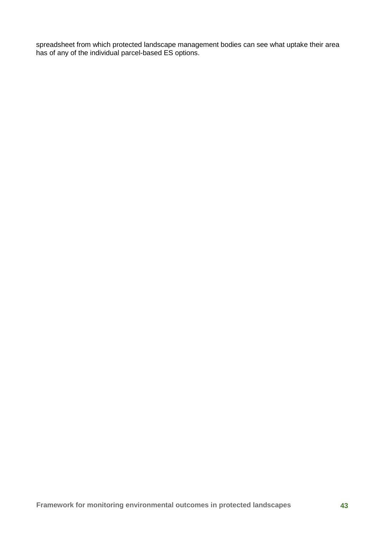spreadsheet from which protected landscape management bodies can see what uptake their area has of any of the individual parcel-based ES options.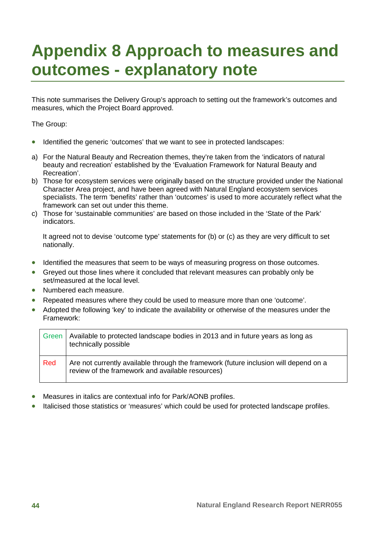## <span id="page-53-0"></span>**Appendix 8 Approach to measures and outcomes - explanatory note**

This note summarises the Delivery Group's approach to setting out the framework's outcomes and measures, which the Project Board approved.

The Group:

- Identified the generic 'outcomes' that we want to see in protected landscapes:
- a) For the Natural Beauty and Recreation themes, they're taken from the 'indicators of natural beauty and recreation' established by the 'Evaluation Framework for Natural Beauty and Recreation'.
- b) Those for ecosystem services were originally based on the structure provided under the National Character Area project, and have been agreed with Natural England ecosystem services specialists. The term 'benefits' rather than 'outcomes' is used to more accurately reflect what the framework can set out under this theme.
- c) Those for 'sustainable communities' are based on those included in the 'State of the Park' indicators.

It agreed not to devise 'outcome type' statements for (b) or (c) as they are very difficult to set nationally.

- Identified the measures that seem to be ways of measuring progress on those outcomes.
- Greyed out those lines where it concluded that relevant measures can probably only be set/measured at the local level.
- Numbered each measure.
- Repeated measures where they could be used to measure more than one 'outcome'.
- Adopted the following 'key' to indicate the availability or otherwise of the measures under the Framework:

| Green | Available to protected landscape bodies in 2013 and in future years as long as<br>technically possible                                   |
|-------|------------------------------------------------------------------------------------------------------------------------------------------|
| Red   | Are not currently available through the framework (future inclusion will depend on a<br>review of the framework and available resources) |

- Measures in italics are contextual info for Park/AONB profiles.
- Italicised those statistics or 'measures' which could be used for protected landscape profiles.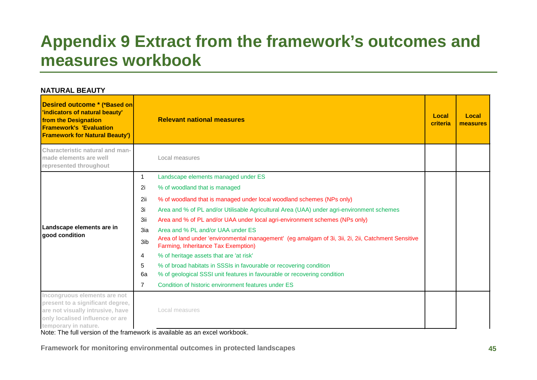## **Appendix 9 Extract from the framework's outcomes and measures workbook**

<span id="page-54-0"></span>

| <b>NATURAL BEAUTY</b>                                                                                                                                             |     |                                                                                                                                           |                   |                          |
|-------------------------------------------------------------------------------------------------------------------------------------------------------------------|-----|-------------------------------------------------------------------------------------------------------------------------------------------|-------------------|--------------------------|
| Desired outcome * (*Based on<br>'indicators of natural beauty'<br>from the Designation<br><b>Framework's 'Evaluation</b><br><b>Framework for Natural Beauty')</b> |     | <b>Relevant national measures</b>                                                                                                         | Local<br>criteria | Local<br><b>measures</b> |
| Characteristic natural and man-<br>made elements are well<br>represented throughout                                                                               |     | Local measures                                                                                                                            |                   |                          |
|                                                                                                                                                                   | 1   | Landscape elements managed under ES                                                                                                       |                   |                          |
|                                                                                                                                                                   | 2i  | % of woodland that is managed                                                                                                             |                   |                          |
|                                                                                                                                                                   | 2ii | % of woodland that is managed under local woodland schemes (NPs only)                                                                     |                   |                          |
|                                                                                                                                                                   | 3i  | Area and % of PL and/or Utilisable Agricultural Area (UAA) under agri-environment schemes                                                 |                   |                          |
|                                                                                                                                                                   | 3ii | Area and % of PL and/or UAA under local agri-environment schemes (NPs only)                                                               |                   |                          |
| Landscape elements are in<br>good condition                                                                                                                       | 3ia | Area and % PL and/or UAA under ES                                                                                                         |                   |                          |
|                                                                                                                                                                   | 3ib | Area of land under 'environmental management' (eg amalgam of 3i, 3ii, 2i, 2ii, Catchment Sensitive<br>Farming, Inheritance Tax Exemption) |                   |                          |
|                                                                                                                                                                   | 4   | % of heritage assets that are 'at risk'                                                                                                   |                   |                          |
|                                                                                                                                                                   | 5   | % of broad habitats in SSSIs in favourable or recovering condition                                                                        |                   |                          |
|                                                                                                                                                                   | 6a  | % of geological SSSI unit features in favourable or recovering condition                                                                  |                   |                          |
|                                                                                                                                                                   | 7   | Condition of historic environment features under ES                                                                                       |                   |                          |
| Incongruous elements are not<br>present to a significant degree,<br>are not visually intrusive, have<br>only localised influence or are<br>temporary in nature.   |     | Local measures                                                                                                                            |                   |                          |

Note: The full version of the framework is available as an excel workbook.

**Framework for monitoring environmental outcomes in protected landscapes 45**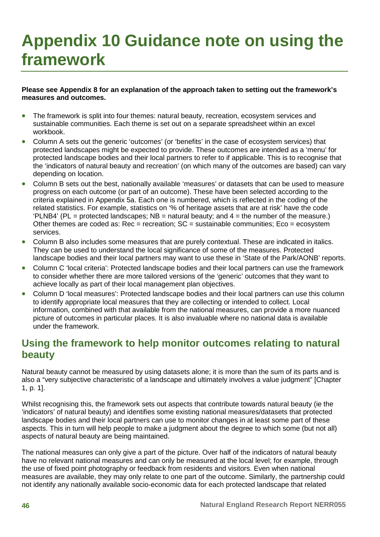## <span id="page-55-0"></span>**Appendix 10 Guidance note on using the framework**

#### **Please see Appendix 8 for an explanation of the approach taken to setting out the framework's measures and outcomes.**

- The framework is split into four themes: natural beauty, recreation, ecosystem services and sustainable communities. Each theme is set out on a separate spreadsheet within an excel workbook.
- Column A sets out the generic 'outcomes' (or 'benefits' in the case of ecosystem services) that protected landscapes might be expected to provide. These outcomes are intended as a 'menu' for protected landscape bodies and their local partners to refer to if applicable. This is to recognise that the 'indicators of natural beauty and recreation' (on which many of the outcomes are based) can vary depending on location.
- Column B sets out the best, nationally available 'measures' or datasets that can be used to measure progress on each outcome (or part of an outcome). These have been selected according to the criteria explained in Appendix 5a. Each one is numbered, which is reflected in the coding of the related statistics. For example, statistics on '% of heritage assets that are at risk' have the code 'PLNB4' (PL = protected landscapes;  $NB =$  natural beauty; and  $4 =$  the number of the measure.) Other themes are coded as:  $Rec = rec$  recreation;  $SC =$  sustainable communities;  $E_{CO} =$  ecosystem services.
- Column B also includes some measures that are purely contextual. These are indicated in italics. They can be used to understand the local significance of some of the measures. Protected landscape bodies and their local partners may want to use these in 'State of the Park/AONB' reports.
- Column C 'local criteria': Protected landscape bodies and their local partners can use the framework to consider whether there are more tailored versions of the 'generic' outcomes that they want to achieve locally as part of their local management plan objectives.
- Column D 'local measures': Protected landscape bodies and their local partners can use this column to identify appropriate local measures that they are collecting or intended to collect. Local information, combined with that available from the national measures, can provide a more nuanced picture of outcomes in particular places. It is also invaluable where no national data is available under the framework.

### **Using the framework to help monitor outcomes relating to natural beauty**

Natural beauty cannot be measured by using datasets alone; it is more than the sum of its parts and is also a "very subjective characteristic of a landscape and ultimately involves a value judgment" [Chapter 1, p. 1].

Whilst recognising this, the framework sets out aspects that contribute towards natural beauty (ie the 'indicators' of natural beauty) and identifies some existing national measures/datasets that protected landscape bodies and their local partners can use to monitor changes in at least some part of these aspects. This in turn will help people to make a judgment about the degree to which some (but not all) aspects of natural beauty are being maintained.

The national measures can only give a part of the picture. Over half of the indicators of natural beauty have no relevant national measures and can only be measured at the local level; for example, through the use of fixed point photography or feedback from residents and visitors. Even when national measures are available, they may only relate to one part of the outcome. Similarly, the partnership could not identify any nationally available socio-economic data for each protected landscape that related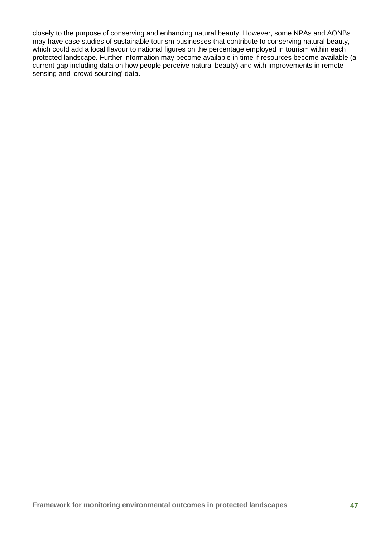closely to the purpose of conserving and enhancing natural beauty. However, some NPAs and AONBs may have case studies of sustainable tourism businesses that contribute to conserving natural beauty, which could add a local flavour to national figures on the percentage employed in tourism within each protected landscape. Further information may become available in time if resources become available (a current gap including data on how people perceive natural beauty) and with improvements in remote sensing and 'crowd sourcing' data.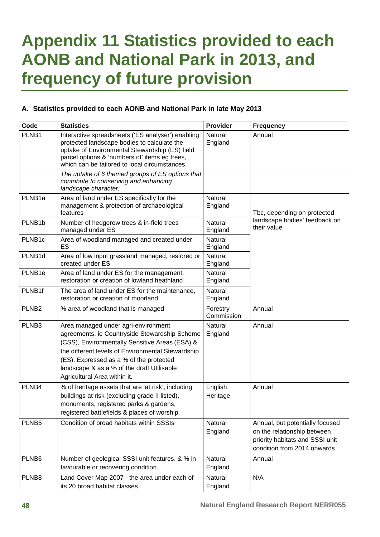## <span id="page-57-0"></span>**Appendix 11 Statistics provided to each AONB and National Park in 2013, and frequency of future provision**

#### **A. Statistics provided to each AONB and National Park in late May 2013**

| Code               | <b>Statistics</b>                                                                                                                                                                                                                                                                                                    | <b>Provider</b>        | <b>Frequency</b>                                                                                                                 |
|--------------------|----------------------------------------------------------------------------------------------------------------------------------------------------------------------------------------------------------------------------------------------------------------------------------------------------------------------|------------------------|----------------------------------------------------------------------------------------------------------------------------------|
| PLNB1              | Interactive spreadsheets ('ES analyser') enabling<br>protected landscape bodies to calculate the<br>uptake of Environmental Stewardship (ES) field<br>parcel options & 'numbers of' items eg trees,<br>which can be tailored to local circumstances.                                                                 | Natural<br>England     | Annual                                                                                                                           |
|                    | The uptake of 6 themed groups of ES options that<br>contribute to conserving and enhancing<br>landscape character:                                                                                                                                                                                                   |                        |                                                                                                                                  |
| PLNB <sub>1a</sub> | Area of land under ES specifically for the<br>management & protection of archaeological<br>features                                                                                                                                                                                                                  | Natural<br>England     | Tbc, depending on protected                                                                                                      |
| PLNB1b             | Number of hedgerow trees & in-field trees<br>managed under ES                                                                                                                                                                                                                                                        | Natural<br>England     | landscape bodies' feedback on<br>their value                                                                                     |
| PLNB1c             | Area of woodland managed and created under<br>ES                                                                                                                                                                                                                                                                     | Natural<br>England     |                                                                                                                                  |
| PLNB1d             | Area of low input grassland managed, restored or<br>created under ES                                                                                                                                                                                                                                                 | Natural<br>England     |                                                                                                                                  |
| PLNB1e             | Area of land under ES for the management,<br>restoration or creation of lowland heathland                                                                                                                                                                                                                            | Natural<br>England     |                                                                                                                                  |
| PLNB1f             | The area of land under ES for the maintenance,<br>restoration or creation of moorland                                                                                                                                                                                                                                | Natural<br>England     |                                                                                                                                  |
| PLNB <sub>2</sub>  | % area of woodland that is managed                                                                                                                                                                                                                                                                                   | Forestry<br>Commission | Annual                                                                                                                           |
| PLNB <sub>3</sub>  | Area managed under agri-environment<br>agreements, ie Countryside Stewardship Scheme<br>(CSS), Environmentally Sensitive Areas (ESA) &<br>the different levels of Environmental Stewardship<br>(ES). Expressed as a % of the protected<br>landscape & as a % of the draft Utilisable<br>Agricultural Area within it. | Natural<br>England     | Annual                                                                                                                           |
| PLNB4              | % of heritage assets that are 'at risk', including<br>buildings at risk (excluding grade II listed),<br>monuments, registered parks & gardens,<br>registered battlefields & places of worship.                                                                                                                       | English<br>Heritage    | Annual                                                                                                                           |
| PLNB <sub>5</sub>  | Condition of broad habitats within SSSIs                                                                                                                                                                                                                                                                             | Natural<br>England     | Annual, but potentially focused<br>on the relationship between<br>priority habitats and SSSI unit<br>condition from 2014 onwards |
| PLNB <sub>6</sub>  | Number of geological SSSI unit features, & % in<br>favourable or recovering condition.                                                                                                                                                                                                                               | Natural<br>England     | Annual                                                                                                                           |
| PLNB8              | Land Cover Map 2007 - the area under each of<br>its 20 broad habitat classes                                                                                                                                                                                                                                         | Natural<br>England     | N/A                                                                                                                              |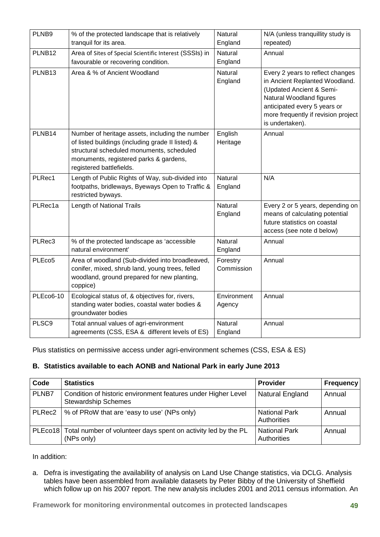| PLNB9              | % of the protected landscape that is relatively<br>tranquil for its area.                                                                                                                                               | Natural<br>England        | N/A (unless tranquillity study is<br>repeated)                                                                                                                                                                       |
|--------------------|-------------------------------------------------------------------------------------------------------------------------------------------------------------------------------------------------------------------------|---------------------------|----------------------------------------------------------------------------------------------------------------------------------------------------------------------------------------------------------------------|
|                    |                                                                                                                                                                                                                         |                           |                                                                                                                                                                                                                      |
| PLNB12             | Area of Sites of Special Scientific Interest (SSSIs) in                                                                                                                                                                 | Natural                   | Annual                                                                                                                                                                                                               |
|                    | favourable or recovering condition.                                                                                                                                                                                     | England                   |                                                                                                                                                                                                                      |
| PLNB13             | Area & % of Ancient Woodland                                                                                                                                                                                            | <b>Natural</b><br>England | Every 2 years to reflect changes<br>in Ancient Replanted Woodland.<br>(Updated Ancient & Semi-<br>Natural Woodland figures<br>anticipated every 5 years or<br>more frequently if revision project<br>is undertaken). |
| PLNB14             | Number of heritage assets, including the number<br>of listed buildings (including grade II listed) &<br>structural scheduled monuments, scheduled<br>monuments, registered parks & gardens,<br>registered battlefields. | English<br>Heritage       | Annual                                                                                                                                                                                                               |
| PLRec1             | Length of Public Rights of Way, sub-divided into<br>footpaths, bridleways, Byeways Open to Traffic &<br>restricted byways.                                                                                              | Natural<br>England        | N/A                                                                                                                                                                                                                  |
| PLRec1a            | Length of National Trails                                                                                                                                                                                               | <b>Natural</b><br>England | Every 2 or 5 years, depending on<br>means of calculating potential<br>future statistics on coastal<br>access (see note d below)                                                                                      |
| PLRec3             | % of the protected landscape as 'accessible<br>natural environment'                                                                                                                                                     | <b>Natural</b><br>England | Annual                                                                                                                                                                                                               |
| PLEco <sub>5</sub> | Area of woodland (Sub-divided into broadleaved,<br>conifer, mixed, shrub land, young trees, felled<br>woodland, ground prepared for new planting,<br>coppice)                                                           | Forestry<br>Commission    | Annual                                                                                                                                                                                                               |
| <b>PLEco6-10</b>   | Ecological status of, & objectives for, rivers,<br>standing water bodies, coastal water bodies &<br>groundwater bodies                                                                                                  | Environment<br>Agency     | Annual                                                                                                                                                                                                               |
| PLSC9              | Total annual values of agri-environment<br>agreements (CSS, ESA & different levels of ES)                                                                                                                               | Natural<br>England        | Annual                                                                                                                                                                                                               |

Plus statistics on permissive access under agri-environment schemes (CSS, ESA & ES)

#### **B. Statistics available to each AONB and National Park in early June 2013**

| Code   | <b>Statistics</b>                                                                                 | <b>Provider</b>                     | <b>Frequency</b> |
|--------|---------------------------------------------------------------------------------------------------|-------------------------------------|------------------|
| PLNB7  | Condition of historic environment features under Higher Level<br><b>Stewardship Schemes</b>       | <b>Natural England</b>              | Annual           |
| PLRec2 | % of PRoW that are 'easy to use' (NPs only)                                                       | <b>National Park</b><br>Authorities | Annual           |
|        | PLE co <sup>18</sup> Total number of volunteer days spent on activity led by the PL<br>(NPs only) | <b>National Park</b><br>Authorities | Annual           |

In addition:

a. Defra is investigating the availability of analysis on Land Use Change statistics, via DCLG. Analysis tables have been assembled from available datasets by Peter Bibby of the University of Sheffield which follow up on his 2007 report. The new analysis includes 2001 and 2011 census information. An

**Framework for monitoring environmental outcomes in protected landscapes 49**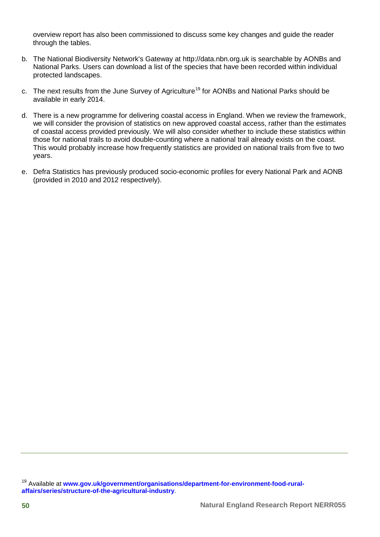overview report has also been commissioned to discuss some key changes and guide the reader through the tables.

- b. The National Biodiversity Network's Gateway at [http://data.nbn.org.uk](http://data.nbn.org.uk/) is searchable by AONBs and National Parks. Users can download a list of the species that have been recorded within individual protected landscapes.
- c. The next results from the June Survey of Agriculture<sup>[19](#page-59-0)</sup> for AONBs and National Parks should be available in early 2014.
- d. There is a new programme for delivering coastal access in England. When we review the framework, we will consider the provision of statistics on new approved coastal access, rather than the estimates of coastal access provided previously. We will also consider whether to include these statistics within those for national trails to avoid double-counting where a national trail already exists on the coast. This would probably increase how frequently statistics are provided on national trails from five to two years.
- e. Defra Statistics has previously produced socio-economic profiles for every National Park and AONB (provided in 2010 and 2012 respectively).

<span id="page-59-0"></span><sup>19</sup> Available at www.qov.uk/government/organisations/department-for-environment-food-rural**[affairs/series/structure-of-the-agricultural-industry](https://www.gov.uk/government/organisations/department-for-environment-food-rural-affairs/series/structure-of-the-agricultural-industry)**.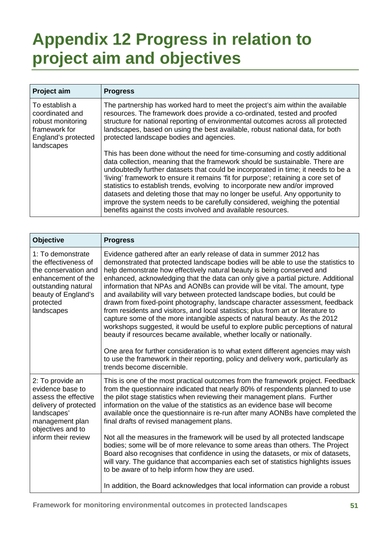## <span id="page-60-0"></span>**Appendix 12 Progress in relation to project aim and objectives**

| Project aim                                                                                                  | <b>Progress</b>                                                                                                                                                                                                                                                                                                                                                                                                                                                                                                                                                                                                                                       |
|--------------------------------------------------------------------------------------------------------------|-------------------------------------------------------------------------------------------------------------------------------------------------------------------------------------------------------------------------------------------------------------------------------------------------------------------------------------------------------------------------------------------------------------------------------------------------------------------------------------------------------------------------------------------------------------------------------------------------------------------------------------------------------|
| To establish a<br>coordinated and<br>robust monitoring<br>framework for<br>England's protected<br>landscapes | The partnership has worked hard to meet the project's aim within the available<br>resources. The framework does provide a co-ordinated, tested and proofed<br>structure for national reporting of environmental outcomes across all protected<br>landscapes, based on using the best available, robust national data, for both<br>protected landscape bodies and agencies.                                                                                                                                                                                                                                                                            |
|                                                                                                              | This has been done without the need for time-consuming and costly additional<br>data collection, meaning that the framework should be sustainable. There are<br>undoubtedly further datasets that could be incorporated in time; it needs to be a<br>'living' framework to ensure it remains 'fit for purpose'; retaining a core set of<br>statistics to establish trends, evolving to incorporate new and/or improved<br>datasets and deleting those that may no longer be useful. Any opportunity to<br>improve the system needs to be carefully considered, weighing the potential<br>benefits against the costs involved and available resources. |

| Objective                                                                                                                                                           | <b>Progress</b>                                                                                                                                                                                                                                                                                                                                                                                                                                                                                                                                                                                                                                                                                                                                                                                                                                                                                                                                                                                                                                                                                               |
|---------------------------------------------------------------------------------------------------------------------------------------------------------------------|---------------------------------------------------------------------------------------------------------------------------------------------------------------------------------------------------------------------------------------------------------------------------------------------------------------------------------------------------------------------------------------------------------------------------------------------------------------------------------------------------------------------------------------------------------------------------------------------------------------------------------------------------------------------------------------------------------------------------------------------------------------------------------------------------------------------------------------------------------------------------------------------------------------------------------------------------------------------------------------------------------------------------------------------------------------------------------------------------------------|
| 1: To demonstrate<br>the effectiveness of<br>the conservation and<br>enhancement of the<br>outstanding natural<br>beauty of England's<br>protected<br>landscapes    | Evidence gathered after an early release of data in summer 2012 has<br>demonstrated that protected landscape bodies will be able to use the statistics to<br>help demonstrate how effectively natural beauty is being conserved and<br>enhanced, acknowledging that the data can only give a partial picture. Additional<br>information that NPAs and AONBs can provide will be vital. The amount, type<br>and availability will vary between protected landscape bodies, but could be<br>drawn from fixed-point photography, landscape character assessment, feedback<br>from residents and visitors, and local statistics; plus from art or literature to<br>capture some of the more intangible aspects of natural beauty. As the 2012<br>workshops suggested, it would be useful to explore public perceptions of natural<br>beauty if resources became available, whether locally or nationally.<br>One area for further consideration is to what extent different agencies may wish<br>to use the framework in their reporting, policy and delivery work, particularly as<br>trends become discernible. |
| 2: To provide an<br>evidence base to<br>assess the effective<br>delivery of protected<br>landscapes'<br>management plan<br>objectives and to<br>inform their review | This is one of the most practical outcomes from the framework project. Feedback<br>from the questionnaire indicated that nearly 80% of respondents planned to use<br>the pilot stage statistics when reviewing their management plans. Further<br>information on the value of the statistics as an evidence base will become<br>available once the questionnaire is re-run after many AONBs have completed the<br>final drafts of revised management plans.<br>Not all the measures in the framework will be used by all protected landscape<br>bodies; some will be of more relevance to some areas than others. The Project<br>Board also recognises that confidence in using the datasets, or mix of datasets,<br>will vary. The guidance that accompanies each set of statistics highlights issues<br>to be aware of to help inform how they are used.                                                                                                                                                                                                                                                    |
|                                                                                                                                                                     | In addition, the Board acknowledges that local information can provide a robust                                                                                                                                                                                                                                                                                                                                                                                                                                                                                                                                                                                                                                                                                                                                                                                                                                                                                                                                                                                                                               |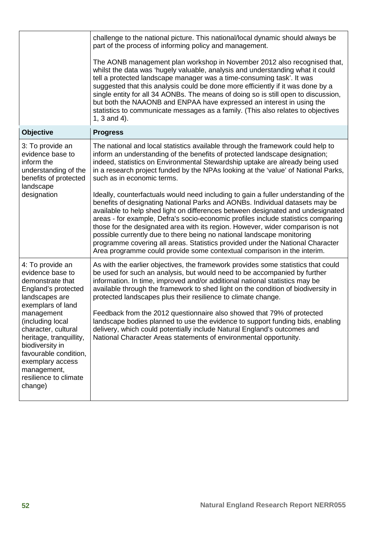|                                                                                                                                                                                                                                                                                                                               | challenge to the national picture. This national/local dynamic should always be<br>part of the process of informing policy and management.                                                                                                                                                                                                                                                                                                                                                                                                                                                                                                                                                                       |
|-------------------------------------------------------------------------------------------------------------------------------------------------------------------------------------------------------------------------------------------------------------------------------------------------------------------------------|------------------------------------------------------------------------------------------------------------------------------------------------------------------------------------------------------------------------------------------------------------------------------------------------------------------------------------------------------------------------------------------------------------------------------------------------------------------------------------------------------------------------------------------------------------------------------------------------------------------------------------------------------------------------------------------------------------------|
|                                                                                                                                                                                                                                                                                                                               | The AONB management plan workshop in November 2012 also recognised that,<br>whilst the data was 'hugely valuable, analysis and understanding what it could<br>tell a protected landscape manager was a time-consuming task'. It was<br>suggested that this analysis could be done more efficiently if it was done by a<br>single entity for all 34 AONBs. The means of doing so is still open to discussion,<br>but both the NAAONB and ENPAA have expressed an interest in using the<br>statistics to communicate messages as a family. (This also relates to objectives<br>1, 3 and 4).                                                                                                                        |
| <b>Objective</b>                                                                                                                                                                                                                                                                                                              | <b>Progress</b>                                                                                                                                                                                                                                                                                                                                                                                                                                                                                                                                                                                                                                                                                                  |
| 3: To provide an<br>evidence base to<br>inform the<br>understanding of the<br>benefits of protected<br>landscape<br>designation                                                                                                                                                                                               | The national and local statistics available through the framework could help to<br>inform an understanding of the benefits of protected landscape designation;<br>indeed, statistics on Environmental Stewardship uptake are already being used<br>in a research project funded by the NPAs looking at the 'value' of National Parks,<br>such as in economic terms.                                                                                                                                                                                                                                                                                                                                              |
|                                                                                                                                                                                                                                                                                                                               | Ideally, counterfactuals would need including to gain a fuller understanding of the<br>benefits of designating National Parks and AONBs. Individual datasets may be<br>available to help shed light on differences between designated and undesignated<br>areas - for example, Defra's socio-economic profiles include statistics comparing<br>those for the designated area with its region. However, wider comparison is not<br>possible currently due to there being no national landscape monitoring<br>programme covering all areas. Statistics provided under the National Character<br>Area programme could provide some contextual comparison in the interim.                                            |
| 4: To provide an<br>evidence base to<br>demonstrate that<br>England's protected<br>landscapes are<br>exemplars of land<br>management<br>(including local<br>character, cultural<br>heritage, tranquillity,<br>biodiversity in<br>favourable condition,<br>exemplary access<br>management,<br>resilience to climate<br>change) | As with the earlier objectives, the framework provides some statistics that could<br>be used for such an analysis, but would need to be accompanied by further<br>information. In time, improved and/or additional national statistics may be<br>available through the framework to shed light on the condition of biodiversity in<br>protected landscapes plus their resilience to climate change.<br>Feedback from the 2012 questionnaire also showed that 79% of protected<br>landscape bodies planned to use the evidence to support funding bids, enabling<br>delivery, which could potentially include Natural England's outcomes and<br>National Character Areas statements of environmental opportunity. |